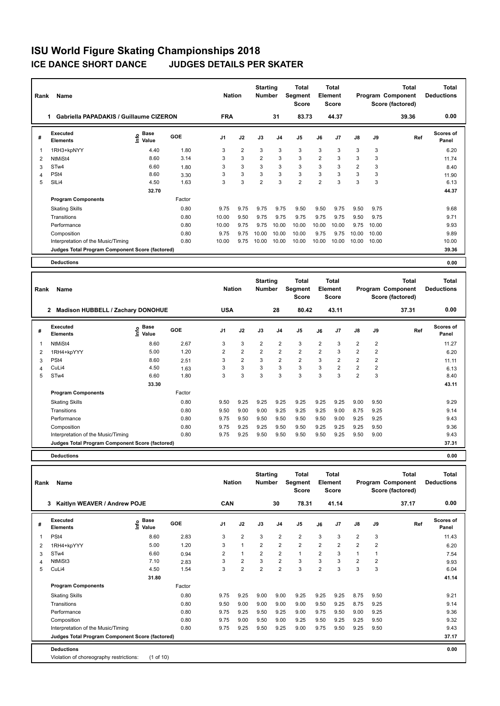| Rank | Name                                            |                                  |        | <b>Nation</b>  |                | <b>Starting</b><br><b>Number</b> |                | <b>Total</b><br>Segment<br><b>Score</b> |                | <b>Total</b><br>Element<br><b>Score</b> |                |       | <b>Total</b><br>Program Component<br>Score (factored) | Total<br><b>Deductions</b> |
|------|-------------------------------------------------|----------------------------------|--------|----------------|----------------|----------------------------------|----------------|-----------------------------------------|----------------|-----------------------------------------|----------------|-------|-------------------------------------------------------|----------------------------|
|      | <b>Gabriella PAPADAKIS / Guillaume CIZERON</b>  |                                  |        | <b>FRA</b>     |                |                                  | 31             | 83.73                                   |                | 44.37                                   |                |       | 39.36                                                 | 0.00                       |
| #    | Executed<br><b>Elements</b>                     | <b>Base</b><br>e Base<br>⊆ Value | GOE    | J <sub>1</sub> | J2             | J3                               | J <sub>4</sub> | J <sub>5</sub>                          | J6             | J <sub>7</sub>                          | $\mathsf{J}8$  | J9    | Ref                                                   | Scores of<br>Panel         |
|      | 1RH3+kpNYY                                      | 4.40                             | 1.80   | 3              | $\overline{2}$ | 3                                | 3              | 3                                       | 3              | 3                                       | 3              | 3     |                                                       | 6.20                       |
| 2    | NtMiSt4                                         | 8.60                             | 3.14   | 3              | 3              | $\overline{2}$                   | 3              | 3                                       | $\overline{2}$ | 3                                       | 3              | 3     |                                                       | 11.74                      |
| 3    | ST <sub>w</sub> 4                               | 6.60                             | 1.80   | 3              | 3              | 3                                | 3              | 3                                       | 3              | 3                                       | $\overline{2}$ | 3     |                                                       | 8.40                       |
| 4    | PSt <sub>4</sub>                                | 8.60                             | 3.30   | 3              | 3              | 3                                | 3              | 3                                       | 3              | 3                                       | 3              | 3     |                                                       | 11.90                      |
| 5    | SILi4                                           | 4.50                             | 1.63   | 3              | 3              | $\overline{2}$                   | 3              | $\overline{2}$                          | $\overline{2}$ | 3                                       | 3              | 3     |                                                       | 6.13                       |
|      |                                                 | 32.70                            |        |                |                |                                  |                |                                         |                |                                         |                |       |                                                       | 44.37                      |
|      | <b>Program Components</b>                       |                                  | Factor |                |                |                                  |                |                                         |                |                                         |                |       |                                                       |                            |
|      | <b>Skating Skills</b>                           |                                  | 0.80   | 9.75           | 9.75           | 9.75                             | 9.75           | 9.50                                    | 9.50           | 9.75                                    | 9.50           | 9.75  |                                                       | 9.68                       |
|      | Transitions                                     |                                  | 0.80   | 10.00          | 9.50           | 9.75                             | 9.75           | 9.75                                    | 9.75           | 9.75                                    | 9.50           | 9.75  |                                                       | 9.71                       |
|      | Performance                                     |                                  | 0.80   | 10.00          | 9.75           | 9.75                             | 10.00          | 10.00                                   | 10.00          | 10.00                                   | 9.75           | 10.00 |                                                       | 9.93                       |
|      | Composition                                     |                                  | 0.80   | 9.75           | 9.75           | 10.00                            | 10.00          | 10.00                                   | 9.75           | 9.75                                    | 10.00          | 10.00 |                                                       | 9.89                       |
|      | Interpretation of the Music/Timing              |                                  | 0.80   | 10.00          | 9.75           | 10.00                            | 10.00          | 10.00                                   | 10.00          | 10.00                                   | 10.00          | 10.00 |                                                       | 10.00                      |
|      | Judges Total Program Component Score (factored) |                                  |        |                |                |                                  |                |                                         |                |                                         |                |       |                                                       | 39.36                      |
|      | <b>Deductions</b>                               |                                  |        |                |                |                                  |                |                                         |                |                                         |                |       |                                                       | 0.00                       |

| Rank | Name                                            |                           |        | <b>Nation</b>  |                | <b>Starting</b><br><b>Number</b> |                | <b>Total</b><br>Segment<br><b>Score</b> |                | <b>Total</b><br>Element<br><b>Score</b> |                |      | Total<br>Program Component<br>Score (factored) | <b>Total</b><br><b>Deductions</b> |
|------|-------------------------------------------------|---------------------------|--------|----------------|----------------|----------------------------------|----------------|-----------------------------------------|----------------|-----------------------------------------|----------------|------|------------------------------------------------|-----------------------------------|
|      | 2<br><b>Madison HUBBELL / Zachary DONOHUE</b>   |                           |        | <b>USA</b>     |                |                                  | 28             | 80.42                                   |                | 43.11                                   |                |      | 37.31                                          | 0.00                              |
| #    | Executed<br><b>Elements</b>                     | <b>Base</b><br>۴<br>Value | GOE    | J <sub>1</sub> | J2             | J3                               | J <sub>4</sub> | J <sub>5</sub>                          | J6             | J7                                      | $\mathsf{J}8$  | J9   | Ref                                            | <b>Scores of</b><br>Panel         |
|      | NtMiSt4                                         | 8.60                      | 2.67   | 3              | 3              | $\overline{2}$                   | 2              | 3                                       | $\overline{2}$ | 3                                       | $\overline{2}$ | 2    |                                                | 11.27                             |
| 2    | 1RH4+kpYYY                                      | 5.00                      | 1.20   | $\overline{2}$ | $\overline{2}$ | $\overline{2}$                   | $\overline{2}$ | $\overline{2}$                          | $\overline{2}$ | 3                                       | $\overline{2}$ | 2    |                                                | 6.20                              |
| 3    | PSt4                                            | 8.60                      | 2.51   | 3              | $\overline{2}$ | 3                                | $\overline{2}$ | $\overline{2}$                          | 3              | 2                                       | $\overline{2}$ | 2    |                                                | 11.11                             |
| 4    | CuLi4                                           | 4.50                      | 1.63   | 3              | 3              | 3                                | 3              | 3                                       | 3              | $\overline{2}$                          | $\overline{2}$ | 2    |                                                | 6.13                              |
| 5    | ST <sub>w</sub> 4                               | 6.60                      | 1.80   | 3              | 3              | 3                                | 3              | 3                                       | 3              | 3                                       | $\overline{2}$ | 3    |                                                | 8.40                              |
|      |                                                 | 33.30                     |        |                |                |                                  |                |                                         |                |                                         |                |      |                                                | 43.11                             |
|      | <b>Program Components</b>                       |                           | Factor |                |                |                                  |                |                                         |                |                                         |                |      |                                                |                                   |
|      | <b>Skating Skills</b>                           |                           | 0.80   | 9.50           | 9.25           | 9.25                             | 9.25           | 9.25                                    | 9.25           | 9.25                                    | 9.00           | 9.50 |                                                | 9.29                              |
|      | Transitions                                     |                           | 0.80   | 9.50           | 9.00           | 9.00                             | 9.25           | 9.25                                    | 9.25           | 9.00                                    | 8.75           | 9.25 |                                                | 9.14                              |
|      | Performance                                     |                           | 0.80   | 9.75           | 9.50           | 9.50                             | 9.50           | 9.50                                    | 9.50           | 9.00                                    | 9.25           | 9.25 |                                                | 9.43                              |
|      | Composition                                     |                           | 0.80   | 9.75           | 9.25           | 9.25                             | 9.50           | 9.50                                    | 9.25           | 9.25                                    | 9.25           | 9.50 |                                                | 9.36                              |
|      | Interpretation of the Music/Timing              |                           | 0.80   | 9.75           | 9.25           | 9.50                             | 9.50           | 9.50                                    | 9.50           | 9.25                                    | 9.50           | 9.00 |                                                | 9.43                              |
|      | Judges Total Program Component Score (factored) |                           |        |                |                |                                  |                |                                         |                |                                         |                |      |                                                | 37.31                             |
|      |                                                 |                           |        |                |                |                                  |                |                                         |                |                                         |                |      |                                                |                                   |

| Name                               |                                  |                                                                         |                                                              |                |                             |                | Total<br><b>Score</b>            |                                         |                |                                                  |                | <b>Total</b> | <b>Total</b><br><b>Deductions</b>     |
|------------------------------------|----------------------------------|-------------------------------------------------------------------------|--------------------------------------------------------------|----------------|-----------------------------|----------------|----------------------------------|-----------------------------------------|----------------|--------------------------------------------------|----------------|--------------|---------------------------------------|
|                                    |                                  |                                                                         |                                                              |                |                             | 30             |                                  |                                         |                |                                                  |                | 37.17        | 0.00                                  |
| Executed<br><b>Elements</b>        | <b>Base</b><br>e Base<br>⊆ Value | GOE                                                                     | J <sub>1</sub>                                               | J2             | J3                          | J <sub>4</sub> | J5                               | J6                                      | J7             | $\mathsf{J}8$                                    | J9             | Ref          | <b>Scores of</b><br>Panel             |
| PSt <sub>4</sub>                   | 8.60                             | 2.83                                                                    | 3                                                            | $\overline{2}$ | 3                           | $\overline{2}$ | $\overline{2}$                   | 3                                       | 3              | $\overline{2}$                                   | 3              |              | 11.43                                 |
| 1RH4+kpYYY                         | 5.00                             | 1.20                                                                    | 3                                                            | $\mathbf{1}$   | $\overline{2}$              | $\overline{2}$ | $\overline{2}$                   | $\overline{2}$                          | $\overline{2}$ | $\overline{2}$                                   | $\overline{2}$ |              | 6.20                                  |
| STw4                               | 6.60                             | 0.94                                                                    | 2                                                            | $\overline{1}$ | $\overline{2}$              | $\overline{2}$ | $\mathbf{1}$                     | 2                                       | 3              | $\mathbf{1}$                                     |                |              | 7.54                                  |
| NtMiSt3                            | 7.10                             | 2.83                                                                    | 3                                                            | $\overline{2}$ | 3                           | $\overline{2}$ | 3                                | 3                                       | 3              | $\overline{2}$                                   | $\overline{2}$ |              | 9.93                                  |
| CuLi4                              | 4.50                             | 1.54                                                                    | 3                                                            | $\overline{2}$ | $\overline{2}$              | $\overline{2}$ | 3                                | $\overline{2}$                          | 3              | 3                                                | 3              |              | 6.04                                  |
|                                    | 31.80                            |                                                                         |                                                              |                |                             |                |                                  |                                         |                |                                                  |                |              | 41.14                                 |
| <b>Program Components</b>          |                                  | Factor                                                                  |                                                              |                |                             |                |                                  |                                         |                |                                                  |                |              |                                       |
| <b>Skating Skills</b>              |                                  | 0.80                                                                    | 9.75                                                         | 9.25           | 9.00                        |                | 9.25                             | 9.25                                    | 9.25           | 8.75                                             | 9.50           |              | 9.21                                  |
| Transitions                        |                                  | 0.80                                                                    | 9.50                                                         | 9.00           | 9.00                        |                | 9.00                             | 9.50                                    | 9.25           | 8.75                                             | 9.25           |              | 9.14                                  |
| Performance                        |                                  | 0.80                                                                    | 9.75                                                         | 9.25           | 9.50                        |                | 9.00                             | 9.75                                    | 9.50           | 9.00                                             | 9.25           |              | 9.36                                  |
| Composition                        |                                  | 0.80                                                                    | 9.75                                                         | 9.00           | 9.50                        |                | 9.25                             | 9.50                                    | 9.25           | 9.25                                             | 9.50           |              | 9.32                                  |
| Interpretation of the Music/Timing |                                  | 0.80                                                                    | 9.75                                                         | 9.25           | 9.50                        | 9.25           | 9.00                             | 9.75                                    | 9.50           | 9.25                                             | 9.50           |              | 9.43                                  |
|                                    |                                  |                                                                         |                                                              |                |                             |                |                                  |                                         |                |                                                  |                |              | 37.17                                 |
| <b>Deductions</b>                  |                                  |                                                                         |                                                              |                |                             |                |                                  |                                         |                |                                                  |                |              | 0.00                                  |
|                                    | Rank<br>3                        | Kaitlyn WEAVER / Andrew POJE<br>Violation of choreography restrictions: | Judges Total Program Component Score (factored)<br>(1 of 10) |                | <b>Nation</b><br><b>CAN</b> |                | <b>Starting</b><br><b>Number</b> | Segment<br>9.00<br>9.00<br>9.25<br>9.00 | 78.31          | <b>Total</b><br>Element<br><b>Score</b><br>41.14 |                |              | Program Component<br>Score (factored) |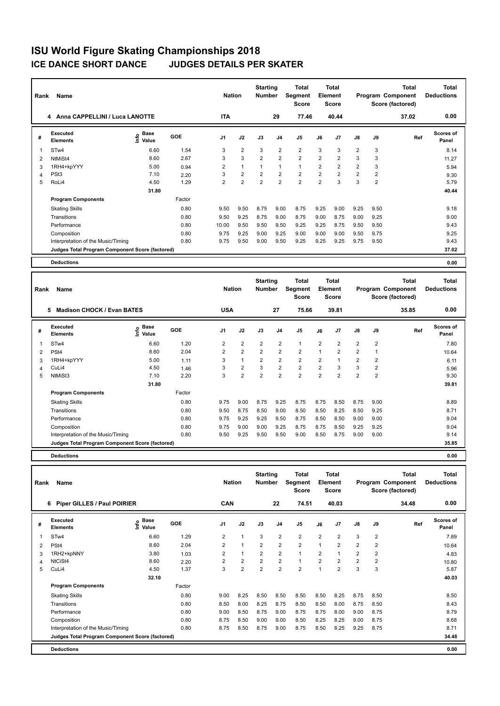| Rank           | Name                                            |                              |        | <b>Nation</b>  |                | <b>Starting</b><br><b>Number</b> |                | <b>Total</b><br><b>Segment</b><br><b>Score</b> |                | <b>Total</b><br>Element<br><b>Score</b> |                |                | <b>Total</b><br>Program Component<br>Score (factored) | Total<br><b>Deductions</b> |
|----------------|-------------------------------------------------|------------------------------|--------|----------------|----------------|----------------------------------|----------------|------------------------------------------------|----------------|-----------------------------------------|----------------|----------------|-------------------------------------------------------|----------------------------|
|                | Anna CAPPELLINI / Luca LANOTTE<br>4             |                              |        | <b>ITA</b>     |                |                                  | 29             | 77.46                                          |                | 40.44                                   |                |                | 37.02                                                 | 0.00                       |
| #              | Executed<br><b>Elements</b>                     | <b>Base</b><br>lnfo<br>Value | GOE    | J <sub>1</sub> | J2             | J3                               | J <sub>4</sub> | J <sub>5</sub>                                 | J6             | J7                                      | J8             | J9             | Ref                                                   | <b>Scores of</b><br>Panel  |
| 1              | STw4                                            | 6.60                         | 1.54   | 3              | $\overline{2}$ | 3                                | $\overline{2}$ | $\overline{2}$                                 | 3              | 3                                       | $\overline{2}$ | 3              |                                                       | 8.14                       |
| $\overline{2}$ | NtMiSt4                                         | 8.60                         | 2.67   | 3              | 3              | $\overline{2}$                   | $\overline{2}$ | $\overline{2}$                                 | $\overline{2}$ | $\overline{2}$                          | 3              | 3              |                                                       | 11.27                      |
| 3              | 1RH4+kpYYY                                      | 5.00                         | 0.94   | 2              | $\overline{1}$ | 1                                | $\overline{1}$ | $\mathbf{1}$                                   | $\overline{2}$ | $\overline{2}$                          | $\overline{2}$ | 3              |                                                       | 5.94                       |
| $\overline{4}$ | PSt <sub>3</sub>                                | 7.10                         | 2.20   | 3              | $\overline{2}$ | $\overline{2}$                   | $\overline{2}$ | $\overline{2}$                                 | $\overline{2}$ | $\overline{2}$                          | $\overline{2}$ | $\overline{2}$ |                                                       | 9.30                       |
| 5              | RoLi4                                           | 4.50                         | 1.29   | 2              | $\overline{2}$ | $\overline{2}$                   | $\overline{2}$ | $\overline{2}$                                 | $\overline{2}$ | 3                                       | 3              | 2              |                                                       | 5.79                       |
|                |                                                 | 31.80                        |        |                |                |                                  |                |                                                |                |                                         |                |                |                                                       | 40.44                      |
|                | <b>Program Components</b>                       |                              | Factor |                |                |                                  |                |                                                |                |                                         |                |                |                                                       |                            |
|                | <b>Skating Skills</b>                           |                              | 0.80   | 9.50           | 9.50           | 8.75                             | 9.00           | 8.75                                           | 9.25           | 9.00                                    | 9.25           | 9.50           |                                                       | 9.18                       |
|                | Transitions                                     |                              | 0.80   | 9.50           | 9.25           | 8.75                             | 9.00           | 8.75                                           | 9.00           | 8.75                                    | 9.00           | 9.25           |                                                       | 9.00                       |
|                | Performance                                     |                              | 0.80   | 10.00          | 9.50           | 9.50                             | 9.50           | 9.25                                           | 9.25           | 8.75                                    | 9.50           | 9.50           |                                                       | 9.43                       |
|                | Composition                                     |                              | 0.80   | 9.75           | 9.25           | 9.00                             | 9.25           | 9.00                                           | 9.00           | 9.00                                    | 9.50           | 9.75           |                                                       | 9.25                       |
|                | Interpretation of the Music/Timing              |                              | 0.80   | 9.75           | 9.50           | 9.00                             | 9.50           | 9.25                                           | 9.25           | 9.25                                    | 9.75           | 9.50           |                                                       | 9.43                       |
|                | Judges Total Program Component Score (factored) |                              |        |                |                |                                  |                |                                                |                |                                         |                |                |                                                       | 37.02                      |
|                | <b>Deductions</b>                               |                              |        |                |                |                                  |                |                                                |                |                                         |                |                |                                                       | 0.00                       |

| Rank | Name                                            |                              |            | <b>Nation</b>  |                | <b>Starting</b><br><b>Number</b> |                | <b>Total</b><br>Segment<br><b>Score</b> |                | <b>Total</b><br>Element<br><b>Score</b> |                |      | <b>Total</b><br>Program Component<br>Score (factored) | <b>Total</b><br><b>Deductions</b> |
|------|-------------------------------------------------|------------------------------|------------|----------------|----------------|----------------------------------|----------------|-----------------------------------------|----------------|-----------------------------------------|----------------|------|-------------------------------------------------------|-----------------------------------|
|      | 5<br><b>Madison CHOCK / Evan BATES</b>          |                              |            | <b>USA</b>     |                |                                  | 27             | 75.66                                   |                | 39.81                                   |                |      | 35.85                                                 | 0.00                              |
| #    | Executed<br><b>Elements</b>                     | <b>Base</b><br>١nfo<br>Value | <b>GOE</b> | J <sub>1</sub> | J2             | J3                               | J4             | J5                                      | J6             | J <sub>7</sub>                          | J8             | J9   | Ref                                                   | Scores of<br>Panel                |
| 1    | STw4                                            | 6.60                         | 1.20       | 2              | $\overline{2}$ | $\overline{2}$                   | 2              | $\mathbf{1}$                            | $\overline{2}$ | 2                                       | $\overline{2}$ | 2    |                                                       | 7.80                              |
| 2    | PSt4                                            | 8.60                         | 2.04       | $\overline{2}$ | 2              | $\overline{2}$                   | $\overline{2}$ | $\overline{2}$                          | $\mathbf{1}$   | $\overline{2}$                          | $\overline{2}$ | -1   |                                                       | 10.64                             |
| 3    | 1RH4+kpYYY                                      | 5.00                         | 1.11       | 3              | 1              | $\overline{2}$                   | $\overline{2}$ | $\overline{2}$                          | $\overline{2}$ |                                         | $\overline{2}$ | 2    |                                                       | 6.11                              |
| 4    | CuLi4                                           | 4.50                         | 1.46       | 3              | $\overline{2}$ | 3                                | $\overline{2}$ | $\overline{2}$                          | $\overline{2}$ | 3                                       | 3              | 2    |                                                       | 5.96                              |
| 5    | NtMiSt3                                         | 7.10                         | 2.20       | 3              | $\overline{2}$ | $\overline{2}$                   | $\overline{2}$ | 2                                       | $\overline{2}$ | $\overline{2}$                          | $\overline{2}$ | 2    |                                                       | 9.30                              |
|      |                                                 | 31.80                        |            |                |                |                                  |                |                                         |                |                                         |                |      |                                                       | 39.81                             |
|      | <b>Program Components</b>                       |                              | Factor     |                |                |                                  |                |                                         |                |                                         |                |      |                                                       |                                   |
|      | <b>Skating Skills</b>                           |                              | 0.80       | 9.75           | 9.00           | 8.75                             | 9.25           | 8.75                                    | 8.75           | 8.50                                    | 8.75           | 9.00 |                                                       | 8.89                              |
|      | Transitions                                     |                              | 0.80       | 9.50           | 8.75           | 8.50                             | 9.00           | 8.50                                    | 8.50           | 8.25                                    | 8.50           | 9.25 |                                                       | 8.71                              |
|      | Performance                                     |                              | 0.80       | 9.75           | 9.25           | 9.25                             | 9.50           | 8.75                                    | 8.50           | 8.50                                    | 9.00           | 9.00 |                                                       | 9.04                              |
|      | Composition                                     |                              | 0.80       | 9.75           | 9.00           | 9.00                             | 9.25           | 8.75                                    | 8.75           | 8.50                                    | 9.25           | 9.25 |                                                       | 9.04                              |
|      | Interpretation of the Music/Timing              |                              | 0.80       | 9.50           | 9.25           | 9.50                             | 9.50           | 9.00                                    | 8.50           | 8.75                                    | 9.00           | 9.00 |                                                       | 9.14                              |
|      | Judges Total Program Component Score (factored) |                              |            |                |                |                                  |                |                                         |                |                                         |                |      |                                                       | 35.85                             |
|      |                                                 |                              |            |                |                |                                  |                |                                         |                |                                         |                |      |                                                       |                                   |

| Rank | Name                                            |                              |        | <b>Nation</b>  |                | <b>Starting</b><br><b>Number</b> |                | Total<br>Segment<br><b>Score</b> |                | Total<br>Element<br><b>Score</b> |                |      | Total<br>Program Component<br>Score (factored) | Total<br><b>Deductions</b> |
|------|-------------------------------------------------|------------------------------|--------|----------------|----------------|----------------------------------|----------------|----------------------------------|----------------|----------------------------------|----------------|------|------------------------------------------------|----------------------------|
|      | <b>Piper GILLES / Paul POIRIER</b><br>6         |                              |        | <b>CAN</b>     |                |                                  | 22             | 74.51                            |                | 40.03                            |                |      | 34.48                                          | 0.00                       |
| #    | <b>Executed</b><br><b>Elements</b>              | <b>Base</b><br>١nf٥<br>Value | GOE    | J <sub>1</sub> | J2             | J3                               | J <sub>4</sub> | J5                               | J6             | J7                               | $\mathsf{J}8$  | J9   | Ref                                            | <b>Scores of</b><br>Panel  |
|      | STw4                                            | 6.60                         | 1.29   | 2              | $\overline{1}$ | 3                                | $\overline{2}$ | $\overline{2}$                   | $\overline{2}$ | 2                                | 3              | 2    |                                                | 7.89                       |
| 2    | PSt <sub>4</sub>                                | 8.60                         | 2.04   | $\overline{2}$ | $\overline{1}$ | $\overline{2}$                   | $\overline{2}$ | $\overline{2}$                   | $\mathbf{1}$   | $\overline{2}$                   | $\overline{2}$ | 2    |                                                | 10.64                      |
| 3    | 1RH2+kpNNY                                      | 3.80                         | 1.03   | 2              |                | $\overline{2}$                   | $\overline{2}$ | $\mathbf{1}$                     | 2              |                                  | $\overline{2}$ | 2    |                                                | 4.83                       |
| 4    | NtCiSt4                                         | 8.60                         | 2.20   | $\overline{2}$ | $\overline{2}$ | $\overline{2}$                   | $\overline{2}$ | $\mathbf{1}$                     | $\overline{2}$ | $\overline{2}$                   | $\overline{2}$ | 2    |                                                | 10.80                      |
| 5    | CuLi4                                           | 4.50                         | 1.37   | 3              | $\overline{2}$ | $\overline{2}$                   | $\overline{2}$ | $\overline{2}$                   | 1              | 2                                | 3              | 3    |                                                | 5.87                       |
|      |                                                 | 32.10                        |        |                |                |                                  |                |                                  |                |                                  |                |      |                                                | 40.03                      |
|      | <b>Program Components</b>                       |                              | Factor |                |                |                                  |                |                                  |                |                                  |                |      |                                                |                            |
|      | <b>Skating Skills</b>                           |                              | 0.80   | 9.00           | 8.25           | 8.50                             | 8.50           | 8.50                             | 8.50           | 8.25                             | 8.75           | 8.50 |                                                | 8.50                       |
|      | Transitions                                     |                              | 0.80   | 8.50           | 8.00           | 8.25                             | 8.75           | 8.50                             | 8.50           | 8.00                             | 8.75           | 8.50 |                                                | 8.43                       |
|      | Performance                                     |                              | 0.80   | 9.00           | 8.50           | 8.75                             | 9.00           | 8.75                             | 8.75           | 8.00                             | 9.00           | 8.75 |                                                | 8.79                       |
|      | Composition                                     |                              | 0.80   | 8.75           | 8.50           | 9.00                             | 9.00           | 8.50                             | 8.25           | 8.25                             | 9.00           | 8.75 |                                                | 8.68                       |
|      | Interpretation of the Music/Timing              |                              | 0.80   | 8.75           | 8.50           | 8.75                             | 9.00           | 8.75                             | 8.50           | 8.25                             | 9.25           | 8.75 |                                                | 8.71                       |
|      | Judges Total Program Component Score (factored) |                              |        |                |                |                                  |                |                                  |                |                                  |                |      |                                                | 34.48                      |
|      | <b>Deductions</b>                               |                              |        |                |                |                                  |                |                                  |                |                                  |                |      |                                                | 0.00                       |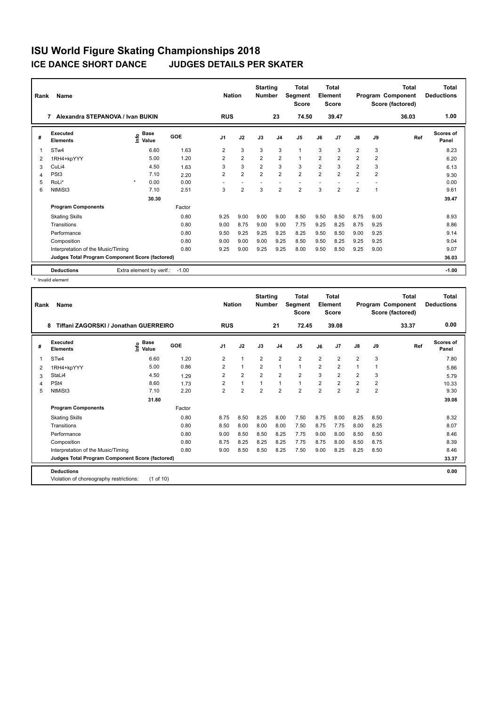| Rank | Name                                            |         |                                  |         | <b>Nation</b>  |                | <b>Starting</b><br><b>Number</b> |                | Total<br>Segment<br><b>Score</b> |                | Total<br>Element<br>Score |                |                | <b>Total</b><br>Program Component<br>Score (factored) | <b>Total</b><br><b>Deductions</b> |
|------|-------------------------------------------------|---------|----------------------------------|---------|----------------|----------------|----------------------------------|----------------|----------------------------------|----------------|---------------------------|----------------|----------------|-------------------------------------------------------|-----------------------------------|
|      | Alexandra STEPANOVA / Ivan BUKIN<br>7           |         |                                  |         | <b>RUS</b>     |                |                                  | 23             | 74.50                            |                | 39.47                     |                |                | 36.03                                                 | 1.00                              |
| #    | Executed<br><b>Elements</b>                     |         | <b>Base</b><br>e Base<br>⊆ Value | GOE     | J <sub>1</sub> | J2             | J3                               | J <sub>4</sub> | J <sub>5</sub>                   | J6             | J7                        | $\mathsf{J}8$  | J9             | Ref                                                   | <b>Scores of</b><br>Panel         |
| 1    | STw4                                            |         | 6.60                             | 1.63    | 2              | 3              | 3                                | 3              | $\mathbf{1}$                     | 3              | 3                         | $\overline{2}$ | 3              |                                                       | 8.23                              |
| 2    | 1RH4+kpYYY                                      |         | 5.00                             | 1.20    | $\overline{2}$ | $\overline{2}$ | $\overline{2}$                   | $\overline{2}$ | $\mathbf{1}$                     | $\overline{2}$ | $\overline{2}$            | $\overline{2}$ | $\overline{2}$ |                                                       | 6.20                              |
| 3    | CuLi4                                           |         | 4.50                             | 1.63    | 3              | 3              | $\overline{2}$                   | 3              | 3                                | $\overline{2}$ | 3                         | $\overline{2}$ | 3              |                                                       | 6.13                              |
| 4    | PSt <sub>3</sub>                                |         | 7.10                             | 2.20    | 2              | $\overline{2}$ | $\overline{2}$                   | $\overline{2}$ | $\overline{2}$                   | $\overline{2}$ | $\overline{2}$            | $\overline{2}$ | $\overline{2}$ |                                                       | 9.30                              |
| 5    | RoLi*                                           | $\star$ | 0.00                             | 0.00    |                |                |                                  |                |                                  |                |                           |                |                |                                                       | 0.00                              |
| 6    | NtMiSt3                                         |         | 7.10                             | 2.51    | 3              | $\overline{2}$ | 3                                | $\overline{2}$ | $\overline{2}$                   | 3              | $\overline{2}$            | $\overline{2}$ | 1              |                                                       | 9.61                              |
|      |                                                 |         | 30.30                            |         |                |                |                                  |                |                                  |                |                           |                |                |                                                       | 39.47                             |
|      | <b>Program Components</b>                       |         |                                  | Factor  |                |                |                                  |                |                                  |                |                           |                |                |                                                       |                                   |
|      | <b>Skating Skills</b>                           |         |                                  | 0.80    | 9.25           | 9.00           | 9.00                             | 9.00           | 8.50                             | 9.50           | 8.50                      | 8.75           | 9.00           |                                                       | 8.93                              |
|      | Transitions                                     |         |                                  | 0.80    | 9.00           | 8.75           | 9.00                             | 9.00           | 7.75                             | 9.25           | 8.25                      | 8.75           | 9.25           |                                                       | 8.86                              |
|      | Performance                                     |         |                                  | 0.80    | 9.50           | 9.25           | 9.25                             | 9.25           | 8.25                             | 9.50           | 8.50                      | 9.00           | 9.25           |                                                       | 9.14                              |
|      | Composition                                     |         |                                  | 0.80    | 9.00           | 9.00           | 9.00                             | 9.25           | 8.50                             | 9.50           | 8.25                      | 9.25           | 9.25           |                                                       | 9.04                              |
|      | Interpretation of the Music/Timing              |         |                                  | 0.80    | 9.25           | 9.00           | 9.25                             | 9.25           | 8.00                             | 9.50           | 8.50                      | 9.25           | 9.00           |                                                       | 9.07                              |
|      | Judges Total Program Component Score (factored) |         |                                  |         |                |                |                                  |                |                                  |                |                           |                |                |                                                       | 36.03                             |
|      | <b>Deductions</b>                               |         | Extra element by verif.:         | $-1.00$ |                |                |                                  |                |                                  |                |                           |                |                |                                                       | $-1.00$                           |

\* Invalid element

| Rank | Name                                            |                                  |        | <b>Nation</b>  |                | <b>Starting</b><br><b>Number</b> |                | <b>Total</b><br>Segment<br><b>Score</b> |                | <b>Total</b><br>Element<br><b>Score</b> |                         |                | Total<br>Program Component<br>Score (factored) | <b>Total</b><br><b>Deductions</b> |
|------|-------------------------------------------------|----------------------------------|--------|----------------|----------------|----------------------------------|----------------|-----------------------------------------|----------------|-----------------------------------------|-------------------------|----------------|------------------------------------------------|-----------------------------------|
|      | Tiffani ZAGORSKI / Jonathan GUERREIRO<br>8      |                                  |        | <b>RUS</b>     |                |                                  | 21             | 72.45                                   |                | 39.08                                   |                         |                | 33.37                                          | 0.00                              |
| #    | Executed<br><b>Elements</b>                     | <b>Base</b><br>e Base<br>⊆ Value | GOE    | J <sub>1</sub> | J2             | J3                               | J <sub>4</sub> | J5                                      | J6             | J7                                      | $\mathsf{J}8$           | J9             | Ref                                            | <b>Scores of</b><br>Panel         |
| 1    | STw4                                            | 6.60                             | 1.20   | $\overline{2}$ | $\mathbf{1}$   | $\overline{2}$                   | $\overline{2}$ | $\overline{2}$                          | $\overline{2}$ | $\overline{2}$                          | $\overline{2}$          | 3              |                                                | 7.80                              |
| 2    | 1RH4+kpYYY                                      | 5.00                             | 0.86   | $\overline{2}$ | $\mathbf{1}$   | $\overline{2}$                   | $\mathbf{1}$   | $\mathbf{1}$                            | $\overline{2}$ | $\overline{2}$                          | $\mathbf{1}$            | $\mathbf{1}$   |                                                | 5.86                              |
| 3    | StaLi4                                          | 4.50                             | 1.29   | $\overline{2}$ | $\overline{2}$ | $\overline{2}$                   | $\overline{2}$ | $\overline{2}$                          | 3              | $\overline{2}$                          | $\overline{2}$          | 3              |                                                | 5.79                              |
| 4    | PSt <sub>4</sub>                                | 8.60                             | 1.73   | 2              | $\mathbf{1}$   | $\mathbf{1}$                     | $\mathbf{1}$   | $\mathbf{1}$                            | 2              | 2                                       | $\overline{\mathbf{c}}$ | 2              |                                                | 10.33                             |
| 5    | NtMiSt3                                         | 7.10                             | 2.20   | $\overline{2}$ | $\overline{2}$ | 2                                | $\overline{2}$ | $\overline{2}$                          | $\overline{2}$ | $\overline{2}$                          | $\overline{2}$          | $\overline{2}$ |                                                | 9.30                              |
|      |                                                 | 31.80                            |        |                |                |                                  |                |                                         |                |                                         |                         |                |                                                | 39.08                             |
|      | <b>Program Components</b>                       |                                  | Factor |                |                |                                  |                |                                         |                |                                         |                         |                |                                                |                                   |
|      | <b>Skating Skills</b>                           |                                  | 0.80   | 8.75           | 8.50           | 8.25                             | 8.00           | 7.50                                    | 8.75           | 8.00                                    | 8.25                    | 8.50           |                                                | 8.32                              |
|      | Transitions                                     |                                  | 0.80   | 8.50           | 8.00           | 8.00                             | 8.00           | 7.50                                    | 8.75           | 7.75                                    | 8.00                    | 8.25           |                                                | 8.07                              |
|      | Performance                                     |                                  | 0.80   | 9.00           | 8.50           | 8.50                             | 8.25           | 7.75                                    | 9.00           | 8.00                                    | 8.50                    | 8.50           |                                                | 8.46                              |
|      | Composition                                     |                                  | 0.80   | 8.75           | 8.25           | 8.25                             | 8.25           | 7.75                                    | 8.75           | 8.00                                    | 8.50                    | 8.75           |                                                | 8.39                              |
|      | Interpretation of the Music/Timing              |                                  | 0.80   | 9.00           | 8.50           | 8.50                             | 8.25           | 7.50                                    | 9.00           | 8.25                                    | 8.25                    | 8.50           |                                                | 8.46                              |
|      | Judges Total Program Component Score (factored) |                                  |        |                |                |                                  |                |                                         |                |                                         |                         |                |                                                | 33.37                             |
|      | <b>Deductions</b>                               |                                  |        |                |                |                                  |                |                                         |                |                                         |                         |                |                                                | 0.00                              |
|      | Violation of choreography restrictions:         | (1 of 10)                        |        |                |                |                                  |                |                                         |                |                                         |                         |                |                                                |                                   |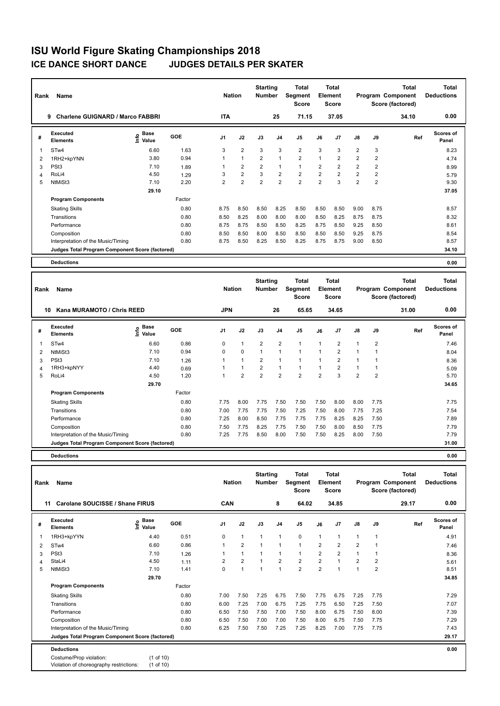| Rank | Name                                            |                              |        | <b>Nation</b>  |                | <b>Starting</b><br><b>Number</b> |                | Total<br>Segment<br><b>Score</b> |                | <b>Total</b><br>Element<br><b>Score</b> |                |                | <b>Total</b><br>Program Component<br>Score (factored) | <b>Total</b><br><b>Deductions</b> |
|------|-------------------------------------------------|------------------------------|--------|----------------|----------------|----------------------------------|----------------|----------------------------------|----------------|-----------------------------------------|----------------|----------------|-------------------------------------------------------|-----------------------------------|
|      | <b>Charlene GUIGNARD / Marco FABBRI</b><br>9    |                              |        | <b>ITA</b>     |                |                                  | 25             | 71.15                            |                | 37.05                                   |                |                | 34.10                                                 | 0.00                              |
| #    | Executed<br><b>Elements</b>                     | <b>Base</b><br>lnfo<br>Value | GOE    | J <sub>1</sub> | J2             | J3                               | J <sub>4</sub> | J <sub>5</sub>                   | J6             | J <sub>7</sub>                          | J8             | J9             | Ref                                                   | <b>Scores of</b><br>Panel         |
|      | STw4                                            | 6.60                         | 1.63   | 3              | $\overline{2}$ | 3                                | 3              | $\overline{2}$                   | 3              | 3                                       | $\overline{2}$ | 3              |                                                       | 8.23                              |
| 2    | 1RH2+kpYNN                                      | 3.80                         | 0.94   | 1              | $\overline{1}$ | $\overline{2}$                   | $\overline{1}$ | $\overline{2}$                   | $\overline{1}$ | 2                                       | $\overline{2}$ | 2              |                                                       | 4.74                              |
| 3    | PSt <sub>3</sub>                                | 7.10                         | 1.89   |                | $\overline{2}$ | $\overline{2}$                   | $\overline{1}$ | $\mathbf{1}$                     | $\overline{2}$ | $\overline{2}$                          | $\overline{2}$ | $\overline{2}$ |                                                       | 8.99                              |
| 4    | RoLi4                                           | 4.50                         | 1.29   | 3              | $\overline{2}$ | 3                                | $\overline{2}$ | $\overline{2}$                   | $\overline{2}$ | $\overline{2}$                          | $\overline{2}$ | $\overline{2}$ |                                                       | 5.79                              |
| 5    | NtMiSt3                                         | 7.10                         | 2.20   | 2              | $\overline{2}$ | $\overline{2}$                   | $\overline{2}$ | $\overline{2}$                   | $\overline{2}$ | 3                                       | $\overline{2}$ | 2              |                                                       | 9.30                              |
|      |                                                 | 29.10                        |        |                |                |                                  |                |                                  |                |                                         |                |                |                                                       | 37.05                             |
|      | <b>Program Components</b>                       |                              | Factor |                |                |                                  |                |                                  |                |                                         |                |                |                                                       |                                   |
|      | <b>Skating Skills</b>                           |                              | 0.80   | 8.75           | 8.50           | 8.50                             | 8.25           | 8.50                             | 8.50           | 8.50                                    | 9.00           | 8.75           |                                                       | 8.57                              |
|      | Transitions                                     |                              | 0.80   | 8.50           | 8.25           | 8.00                             | 8.00           | 8.00                             | 8.50           | 8.25                                    | 8.75           | 8.75           |                                                       | 8.32                              |
|      | Performance                                     |                              | 0.80   | 8.75           | 8.75           | 8.50                             | 8.50           | 8.25                             | 8.75           | 8.50                                    | 9.25           | 8.50           |                                                       | 8.61                              |
|      | Composition                                     |                              | 0.80   | 8.50           | 8.50           | 8.00                             | 8.50           | 8.50                             | 8.50           | 8.50                                    | 9.25           | 8.75           |                                                       | 8.54                              |
|      | Interpretation of the Music/Timing              |                              | 0.80   | 8.75           | 8.50           | 8.25                             | 8.50           | 8.25                             | 8.75           | 8.75                                    | 9.00           | 8.50           |                                                       | 8.57                              |
|      | Judges Total Program Component Score (factored) |                              |        |                |                |                                  |                |                                  |                |                                         |                |                |                                                       | 34.10                             |
|      | <b>Deductions</b>                               |                              |        |                |                |                                  |                |                                  |                |                                         |                |                |                                                       | 0.00                              |

| Rank | Name                                            |                     |        | <b>Nation</b>  |                | <b>Starting</b><br><b>Number</b> |                | <b>Total</b><br>Segment<br><b>Score</b> |                | <b>Total</b><br><b>Element</b><br>Score |                |                | <b>Total</b><br>Program Component<br>Score (factored) | <b>Total</b><br><b>Deductions</b> |
|------|-------------------------------------------------|---------------------|--------|----------------|----------------|----------------------------------|----------------|-----------------------------------------|----------------|-----------------------------------------|----------------|----------------|-------------------------------------------------------|-----------------------------------|
|      | Kana MURAMOTO / Chris REED<br>10                |                     |        | <b>JPN</b>     |                |                                  | 26             | 65.65                                   |                | 34.65                                   |                |                | 31.00                                                 | 0.00                              |
| #    | Executed<br><b>Elements</b>                     | Base<br>۴ů<br>Value | GOE    | J <sub>1</sub> | J2             | J3                               | J <sub>4</sub> | J <sub>5</sub>                          | J6             | J <sub>7</sub>                          | $\mathsf{J}8$  | J9             | Ref                                                   | Scores of<br>Panel                |
| 1    | ST <sub>w</sub> 4                               | 6.60                | 0.86   | 0              | $\mathbf{1}$   | $\overline{2}$                   | $\overline{2}$ | $\mathbf{1}$                            | 1              | 2                                       | $\overline{1}$ | $\overline{2}$ |                                                       | 7.46                              |
| 2    | NtMiSt3                                         | 7.10                | 0.94   | $\Omega$       | $\mathbf 0$    | 1                                | $\overline{1}$ | 1                                       | $\overline{1}$ | $\overline{2}$                          | 1              |                |                                                       | 8.04                              |
| 3    | PSt <sub>3</sub>                                | 7.10                | 1.26   |                | 1              | 2                                |                |                                         |                | $\overline{2}$                          | 1              |                |                                                       | 8.36                              |
| 4    | 1RH3+kpNYY                                      | 4.40                | 0.69   |                | $\mathbf{1}$   | 2                                | 1              | 1                                       |                | 2                                       | 1              |                |                                                       | 5.09                              |
| 5    | RoLi4                                           | 4.50                | 1.20   |                | $\overline{2}$ | $\overline{2}$                   | $\overline{2}$ | $\overline{2}$                          | $\overline{2}$ | 3                                       | $\overline{2}$ | $\overline{2}$ |                                                       | 5.70                              |
|      |                                                 | 29.70               |        |                |                |                                  |                |                                         |                |                                         |                |                |                                                       | 34.65                             |
|      | <b>Program Components</b>                       |                     | Factor |                |                |                                  |                |                                         |                |                                         |                |                |                                                       |                                   |
|      | <b>Skating Skills</b>                           |                     | 0.80   | 7.75           | 8.00           | 7.75                             | 7.50           | 7.50                                    | 7.50           | 8.00                                    | 8.00           | 7.75           |                                                       | 7.75                              |
|      | Transitions                                     |                     | 0.80   | 7.00           | 7.75           | 7.75                             | 7.50           | 7.25                                    | 7.50           | 8.00                                    | 7.75           | 7.25           |                                                       | 7.54                              |
|      | Performance                                     |                     | 0.80   | 7.25           | 8.00           | 8.50                             | 7.75           | 7.75                                    | 7.75           | 8.25                                    | 8.25           | 7.50           |                                                       | 7.89                              |
|      | Composition                                     |                     | 0.80   | 7.50           | 7.75           | 8.25                             | 7.75           | 7.50                                    | 7.50           | 8.00                                    | 8.50           | 7.75           |                                                       | 7.79                              |
|      | Interpretation of the Music/Timing              |                     | 0.80   | 7.25           | 7.75           | 8.50                             | 8.00           | 7.50                                    | 7.50           | 8.25                                    | 8.00           | 7.50           |                                                       | 7.79                              |
|      | Judges Total Program Component Score (factored) |                     |        |                |                |                                  |                |                                         |                |                                         |                |                |                                                       | 31.00                             |
|      |                                                 |                     |        |                |                |                                  |                |                                         |                |                                         |                |                |                                                       |                                   |

| Rank | Name                                                               |                                     |        | <b>Nation</b>  |                | <b>Starting</b><br><b>Number</b> |                | <b>Total</b><br>Segment<br><b>Score</b> |                | <b>Total</b><br>Element<br><b>Score</b> |                |                | <b>Total</b><br>Program Component<br>Score (factored) | <b>Total</b><br><b>Deductions</b> |
|------|--------------------------------------------------------------------|-------------------------------------|--------|----------------|----------------|----------------------------------|----------------|-----------------------------------------|----------------|-----------------------------------------|----------------|----------------|-------------------------------------------------------|-----------------------------------|
| 11   | Carolane SOUCISSE / Shane FIRUS                                    |                                     |        | CAN            |                |                                  | 8              | 64.02                                   |                | 34.85                                   |                |                | 29.17                                                 | 0.00                              |
| #    | Executed<br><b>Elements</b>                                        | $\epsilon$ Base<br>$\epsilon$ Value | GOE    | J <sub>1</sub> | J2             | J3                               | J <sub>4</sub> | J <sub>5</sub>                          | J6             | J <sub>7</sub>                          | $\mathsf{J}8$  | J9             | Ref                                                   | <b>Scores of</b><br>Panel         |
|      | 1RH3+kpYYN                                                         | 4.40                                | 0.51   | 0              | $\mathbf{1}$   | $\overline{1}$                   | $\overline{1}$ | $\pmb{0}$                               | $\mathbf{1}$   | $\mathbf{1}$                            | $\mathbf{1}$   | $\mathbf{1}$   |                                                       | 4.91                              |
| 2    | STw4                                                               | 6.60                                | 0.86   | 1              | $\overline{2}$ | 1                                | $\overline{1}$ | $\mathbf{1}$                            | $\overline{2}$ | $\overline{2}$                          | $\overline{2}$ | $\mathbf{1}$   |                                                       | 7.46                              |
| 3    | PSt <sub>3</sub>                                                   | 7.10                                | 1.26   |                | $\mathbf{1}$   | 1                                | $\overline{1}$ | $\mathbf{1}$                            | $\overline{2}$ | $\overline{2}$                          | $\mathbf{1}$   |                |                                                       | 8.36                              |
| 4    | StaLi4                                                             | 4.50                                | 1.11   | $\overline{2}$ | 2              | $\mathbf{1}$                     | $\overline{2}$ | $\overline{2}$                          | $\overline{2}$ | $\mathbf{1}$                            | $\overline{2}$ | $\overline{2}$ |                                                       | 5.61                              |
| 5    | NtMiSt3                                                            | 7.10                                | 1.41   | 0              | $\overline{1}$ | 1                                | 1              | $\overline{2}$                          | $\overline{2}$ | 1                                       | $\mathbf{1}$   | 2              |                                                       | 8.51                              |
|      |                                                                    | 29.70                               |        |                |                |                                  |                |                                         |                |                                         |                |                |                                                       | 34.85                             |
|      | <b>Program Components</b>                                          |                                     | Factor |                |                |                                  |                |                                         |                |                                         |                |                |                                                       |                                   |
|      | <b>Skating Skills</b>                                              |                                     | 0.80   | 7.00           | 7.50           | 7.25                             | 6.75           | 7.50                                    | 7.75           | 6.75                                    | 7.25           | 7.75           |                                                       | 7.29                              |
|      | Transitions                                                        |                                     | 0.80   | 6.00           | 7.25           | 7.00                             | 6.75           | 7.25                                    | 7.75           | 6.50                                    | 7.25           | 7.50           |                                                       | 7.07                              |
|      | Performance                                                        |                                     | 0.80   | 6.50           | 7.50           | 7.50                             | 7.00           | 7.50                                    | 8.00           | 6.75                                    | 7.50           | 8.00           |                                                       | 7.39                              |
|      | Composition                                                        |                                     | 0.80   | 6.50           | 7.50           | 7.00                             | 7.00           | 7.50                                    | 8.00           | 6.75                                    | 7.50           | 7.75           |                                                       | 7.29                              |
|      | Interpretation of the Music/Timing                                 |                                     | 0.80   | 6.25           | 7.50           | 7.50                             | 7.25           | 7.25                                    | 8.25           | 7.00                                    | 7.75           | 7.75           |                                                       | 7.43                              |
|      | Judges Total Program Component Score (factored)                    |                                     |        |                |                |                                  |                |                                         |                |                                         |                |                |                                                       | 29.17                             |
|      | <b>Deductions</b>                                                  |                                     |        |                |                |                                  |                |                                         |                |                                         |                |                |                                                       | 0.00                              |
|      | Costume/Prop violation:<br>Violation of choreography restrictions: | (1 of 10)<br>(1 of 10)              |        |                |                |                                  |                |                                         |                |                                         |                |                |                                                       |                                   |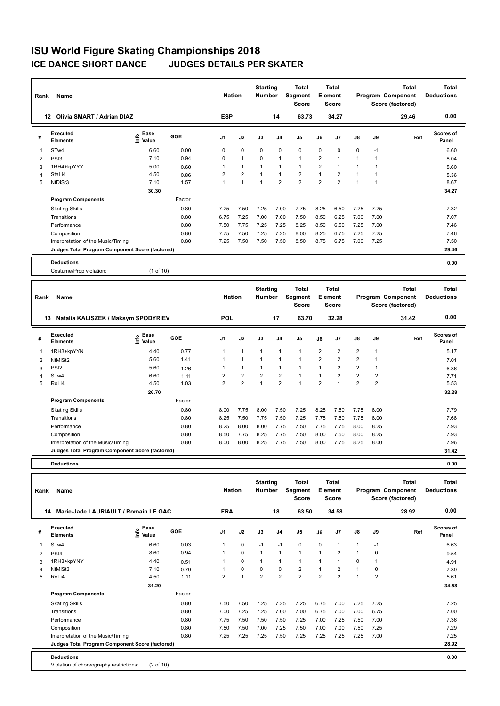# **ISU World Figure Skating Championships 2018 JUDGES DETAILS PER SKATER**

| Rank           | Name                                            |                                           |        |                | <b>Nation</b>           | <b>Starting</b><br><b>Number</b> |                | <b>Total</b><br>Segment<br><b>Score</b> |                | <b>Total</b><br>Element<br><b>Score</b> |                |                | <b>Total</b><br>Program Component<br>Score (factored) | <b>Total</b><br><b>Deductions</b> |
|----------------|-------------------------------------------------|-------------------------------------------|--------|----------------|-------------------------|----------------------------------|----------------|-----------------------------------------|----------------|-----------------------------------------|----------------|----------------|-------------------------------------------------------|-----------------------------------|
|                | 12 Olivia SMART / Adrian DIAZ                   |                                           |        | <b>ESP</b>     |                         |                                  | 14             | 63.73                                   |                | 34.27                                   |                |                | 29.46                                                 | 0.00                              |
| #              | <b>Executed</b><br><b>Elements</b>              | $\frac{e}{E}$ Base<br>$\frac{e}{E}$ Value | GOE    | J1             | J2                      | J3                               | J4             | J <sub>5</sub>                          | J6             | J7                                      | J8             | J9             | Ref                                                   | Scores of<br>Panel                |
| 1              | STw4                                            | 6.60                                      | 0.00   | 0              | 0                       | 0                                | 0              | 0                                       | $\mathbf 0$    | 0                                       | 0              | $-1$           |                                                       | 6.60                              |
| $\overline{2}$ | PSt <sub>3</sub>                                | 7.10                                      | 0.94   | $\mathbf 0$    | $\mathbf{1}$            | $\mathbf 0$                      | $\mathbf{1}$   | $\mathbf{1}$                            | $\overline{2}$ | $\mathbf{1}$                            | $\mathbf{1}$   | $\mathbf{1}$   |                                                       | 8.04                              |
| 3              | 1RH4+kpYYY                                      | 5.00                                      | 0.60   | $\mathbf{1}$   | $\mathbf{1}$            | 1                                | 1              | $\mathbf{1}$                            | $\overline{2}$ | $\mathbf{1}$                            | $\mathbf{1}$   | $\mathbf{1}$   |                                                       | 5.60                              |
| $\overline{4}$ | StaLi4                                          | 4.50                                      | 0.86   | $\overline{2}$ | $\overline{2}$          | 1                                | 1              | $\overline{2}$                          | $\mathbf{1}$   | $\overline{2}$                          | $\mathbf{1}$   | $\mathbf{1}$   |                                                       | 5.36                              |
| 5              | NtDiSt3                                         | 7.10                                      | 1.57   | $\mathbf{1}$   | $\mathbf{1}$            | $\mathbf{1}$                     | $\overline{2}$ | $\overline{2}$                          | $\overline{2}$ | $\overline{2}$                          | $\mathbf{1}$   | $\mathbf{1}$   |                                                       | 8.67                              |
|                |                                                 | 30.30                                     |        |                |                         |                                  |                |                                         |                |                                         |                |                |                                                       | 34.27                             |
|                | <b>Program Components</b>                       |                                           | Factor |                |                         |                                  |                |                                         |                |                                         |                |                |                                                       |                                   |
|                | <b>Skating Skills</b>                           |                                           | 0.80   | 7.25           | 7.50                    | 7.25                             | 7.00           | 7.75                                    | 8.25           | 6.50                                    | 7.25           | 7.25           |                                                       | 7.32                              |
|                | Transitions                                     |                                           | 0.80   | 6.75           | 7.25                    | 7.00                             | 7.00           | 7.50                                    | 8.50           | 6.25                                    | 7.00           | 7.00           |                                                       | 7.07                              |
|                | Performance                                     |                                           | 0.80   | 7.50           | 7.75                    | 7.25                             | 7.25           | 8.25                                    | 8.50           | 6.50                                    | 7.25           | 7.00           |                                                       | 7.46                              |
|                | Composition                                     |                                           | 0.80   | 7.75           | 7.50                    | 7.25                             | 7.25           | 8.00                                    | 8.25           | 6.75                                    | 7.25           | 7.25           |                                                       | 7.46                              |
|                | Interpretation of the Music/Timing              |                                           | 0.80   | 7.25           | 7.50                    | 7.50                             | 7.50           | 8.50                                    | 8.75           | 6.75                                    | 7.00           | 7.25           |                                                       | 7.50                              |
|                | Judges Total Program Component Score (factored) |                                           |        |                |                         |                                  |                |                                         |                |                                         |                |                |                                                       | 29.46                             |
|                | <b>Deductions</b>                               |                                           |        |                |                         |                                  |                |                                         |                |                                         |                |                |                                                       | 0.00                              |
|                | Costume/Prop violation:                         | (1 of 10)                                 |        |                |                         |                                  |                |                                         |                |                                         |                |                |                                                       |                                   |
|                |                                                 |                                           |        |                |                         |                                  |                |                                         |                |                                         |                |                |                                                       |                                   |
|                |                                                 |                                           |        |                |                         | <b>Starting</b>                  |                | <b>Total</b>                            |                | <b>Total</b>                            |                |                | <b>Total</b>                                          | <b>Total</b>                      |
| Rank           | Name                                            |                                           |        | <b>Nation</b>  |                         | <b>Number</b>                    |                | <b>Segment</b>                          |                | Element                                 |                |                | Program Component                                     | <b>Deductions</b>                 |
|                |                                                 |                                           |        |                |                         |                                  |                | <b>Score</b>                            |                | Score                                   |                |                | Score (factored)                                      |                                   |
|                | 13 Natalia KALISZEK / Maksym SPODYRIEV          |                                           |        | <b>POL</b>     |                         |                                  | 17             | 63.70                                   |                | 32.28                                   |                |                | 31.42                                                 | 0.00                              |
|                |                                                 |                                           |        |                |                         |                                  |                |                                         |                |                                         |                |                |                                                       |                                   |
| #              | Executed<br><b>Elements</b>                     | $rac{e}{\epsilon}$ Base                   | GOE    | J <sub>1</sub> | J2                      | J3                               | J4             | J <sub>5</sub>                          | J6             | J <sub>7</sub>                          | J8             | J9             | Ref                                                   | Scores of<br>Panel                |
| 1              | 1RH3+kpYYN                                      | 4.40                                      | 0.77   | 1              | $\mathbf{1}$            | $\mathbf{1}$                     | 1              | $\mathbf{1}$                            | $\overline{2}$ | $\overline{2}$                          | $\overline{2}$ | $\mathbf{1}$   |                                                       | 5.17                              |
| $\overline{2}$ | NtMiSt2                                         | 5.60                                      | 1.41   | $\mathbf{1}$   | $\mathbf{1}$            | $\mathbf{1}$                     | 1              | $\mathbf{1}$                            | $\overline{2}$ | $\overline{2}$                          | $\overline{2}$ | $\mathbf{1}$   |                                                       | 7.01                              |
| 3              | PS <sub>t2</sub>                                | 5.60                                      | 1.26   | $\mathbf{1}$   | $\mathbf{1}$            | $\mathbf{1}$                     | 1              | $\mathbf{1}$                            | $\mathbf{1}$   | $\overline{2}$                          | $\overline{2}$ | $\mathbf{1}$   |                                                       | 6.86                              |
| $\overline{4}$ | STw4                                            | 6.60                                      | 1.11   | $\overline{2}$ | $\overline{\mathbf{c}}$ | $\overline{2}$                   | $\overline{2}$ | $\mathbf{1}$                            | $\mathbf{1}$   | $\overline{2}$                          | $\overline{2}$ | $\overline{2}$ |                                                       | 7.71                              |
| 5              | RoLi4                                           | 4.50                                      | 1.03   | $\overline{2}$ | 2                       | $\mathbf{1}$                     | $\overline{2}$ | $\mathbf{1}$                            | $\overline{2}$ | $\mathbf{1}$                            | $\overline{2}$ | 2              |                                                       | 5.53                              |
|                |                                                 | 26.70                                     |        |                |                         |                                  |                |                                         |                |                                         |                |                |                                                       | 32.28                             |
|                | <b>Program Components</b>                       |                                           | Factor |                |                         |                                  |                |                                         |                |                                         |                |                |                                                       |                                   |
|                | <b>Skating Skills</b>                           |                                           | 0.80   | 8.00           | 7.75                    | 8.00                             | 7.50           | 7.25                                    | 8.25           | 7.50                                    | 7.75           | 8.00           |                                                       | 7.79                              |
|                | Transitions                                     |                                           | 0.80   | 8.25           | 7.50                    | 7.75                             | 7.50           | 7.25                                    | 7.75           | 7.50                                    | 7.75           | 8.00           |                                                       | 7.68                              |
|                | Performance                                     |                                           | 0.80   | 8.25           | 8.00                    | 8.00                             | 7.75           | 7.50                                    | 7.75           | 7.75                                    | 8.00           | 8.25           |                                                       | 7.93                              |
|                | Composition                                     |                                           | 0.80   | 8.50           | 7.75                    | 8.25                             | 7.75           | 7.50                                    | 8.00           | 7.50                                    | 8.00           | 8.25           |                                                       | 7.93                              |
|                | Interpretation of the Music/Timing              |                                           | 0.80   | 8.00           | 8.00                    | 8.25                             | 7.75           | 7.50                                    | 8.00           | 7.75                                    | 8.25           | 8.00           |                                                       | 7.96                              |
|                | Judges Total Program Component Score (factored) |                                           |        |                |                         |                                  |                |                                         |                |                                         |                |                |                                                       | 31.42                             |

| Rank | Name                                            |                       |        | <b>Nation</b>  |                | <b>Starting</b><br><b>Number</b> |                | <b>Total</b><br>Segment<br><b>Score</b> |                | Total<br>Element<br><b>Score</b> |                |                | <b>Total</b><br>Program Component<br>Score (factored) | Total<br><b>Deductions</b> |
|------|-------------------------------------------------|-----------------------|--------|----------------|----------------|----------------------------------|----------------|-----------------------------------------|----------------|----------------------------------|----------------|----------------|-------------------------------------------------------|----------------------------|
| 14   | Marie-Jade LAURIAULT / Romain LE GAC            |                       |        | <b>FRA</b>     |                |                                  | 18             | 63.50                                   |                | 34.58                            |                |                | 28.92                                                 | 0.00                       |
| #    | <b>Executed</b><br><b>Elements</b>              | Base<br>lnfo<br>Value | GOE    | J <sub>1</sub> | J2             | J3                               | J <sub>4</sub> | J <sub>5</sub>                          | J6             | J7                               | $\mathsf{J}8$  | J9             | Ref                                                   | Scores of<br>Panel         |
| 1    | ST <sub>w</sub> 4                               | 6.60                  | 0.03   | 1              | $\mathbf 0$    | $-1$                             | $-1$           | $\mathbf 0$                             | 0              | 1                                | 1              | $-1$           |                                                       | 6.63                       |
| 2    | PSt4                                            | 8.60                  | 0.94   |                | $\mathbf 0$    | $\mathbf{1}$                     | 1              | $\mathbf{1}$                            | 1              | $\overline{2}$                   | 1              | 0              |                                                       | 9.54                       |
| 3    | 1RH3+kpYNY                                      | 4.40                  | 0.51   |                | 0              | $\mathbf 1$                      |                | 1                                       |                |                                  | $\mathbf 0$    | 1              |                                                       | 4.91                       |
| 4    | NtMiSt3                                         | 7.10                  | 0.79   |                | $\mathbf 0$    | $\Omega$                         | 0              | $\overline{2}$                          |                | $\overline{2}$                   | 1              | 0              |                                                       | 7.89                       |
| 5    | RoLi4                                           | 4.50                  | 1.11   | $\overline{2}$ | $\overline{1}$ | $\overline{2}$                   | $\overline{2}$ | $\overline{2}$                          | $\overline{2}$ | $\overline{2}$                   | $\overline{1}$ | $\overline{2}$ |                                                       | 5.61                       |
|      |                                                 | 31.20                 |        |                |                |                                  |                |                                         |                |                                  |                |                |                                                       | 34.58                      |
|      | <b>Program Components</b>                       |                       | Factor |                |                |                                  |                |                                         |                |                                  |                |                |                                                       |                            |
|      | <b>Skating Skills</b>                           |                       | 0.80   | 7.50           | 7.50           | 7.25                             | 7.25           | 7.25                                    | 6.75           | 7.00                             | 7.25           | 7.25           |                                                       | 7.25                       |
|      | Transitions                                     |                       | 0.80   | 7.00           | 7.25           | 7.25                             | 7.00           | 7.00                                    | 6.75           | 7.00                             | 7.00           | 6.75           |                                                       | 7.00                       |
|      | Performance                                     |                       | 0.80   | 7.75           | 7.50           | 7.50                             | 7.50           | 7.25                                    | 7.00           | 7.25                             | 7.50           | 7.00           |                                                       | 7.36                       |
|      | Composition                                     |                       | 0.80   | 7.50           | 7.50           | 7.00                             | 7.25           | 7.50                                    | 7.00           | 7.00                             | 7.50           | 7.25           |                                                       | 7.29                       |
|      | Interpretation of the Music/Timing              |                       | 0.80   | 7.25           | 7.25           | 7.25                             | 7.50           | 7.25                                    | 7.25           | 7.25                             | 7.25           | 7.00           |                                                       | 7.25                       |
|      | Judges Total Program Component Score (factored) |                       |        |                |                |                                  |                |                                         |                |                                  |                |                |                                                       | 28.92                      |
|      | <b>Deductions</b>                               |                       |        |                |                |                                  |                |                                         |                |                                  |                |                |                                                       | 0.00                       |
|      | Violation of choreography restrictions:         | $(2 \text{ of } 10)$  |        |                |                |                                  |                |                                         |                |                                  |                |                |                                                       |                            |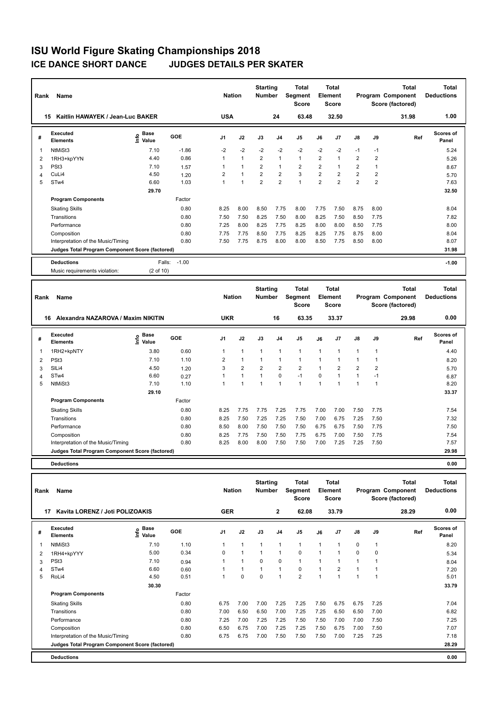| Rank           | Name                                              |                           |              | <b>Nation</b>  |                | <b>Starting</b><br><b>Number</b> |                | <b>Total</b><br>Segment<br>Score        | Element        | <b>Total</b><br><b>Score</b> |                  |                         | <b>Total</b><br>Program Component<br>Score (factored) | <b>Total</b><br><b>Deductions</b> |
|----------------|---------------------------------------------------|---------------------------|--------------|----------------|----------------|----------------------------------|----------------|-----------------------------------------|----------------|------------------------------|------------------|-------------------------|-------------------------------------------------------|-----------------------------------|
|                | 15 Kaitlin HAWAYEK / Jean-Luc BAKER               |                           |              | <b>USA</b>     |                |                                  | 24             | 63.48                                   |                | 32.50                        |                  |                         | 31.98                                                 | 1.00                              |
| #              | Executed<br><b>Elements</b>                       | Base<br>o Base<br>⊆ Value | GOE          | J1             | J2             | J3                               | J4             | J <sub>5</sub>                          | J6             | J7                           | J8               | J9                      | Ref                                                   | <b>Scores of</b><br>Panel         |
| 1              | NtMiSt3                                           | 7.10                      | $-1.86$      | $-2$           | $-2$           | $-2$                             | $-2$           | $-2$                                    | $-2$           | $-2$                         | $-1$             | $-1$                    |                                                       | 5.24                              |
| $\overline{2}$ | 1RH3+kpYYN                                        | 4.40                      | 0.86         | 1              | $\mathbf{1}$   | $\overline{\mathbf{c}}$          | 1              | $\mathbf{1}$                            | $\sqrt{2}$     | $\mathbf{1}$                 | $\boldsymbol{2}$ | $\overline{\mathbf{c}}$ |                                                       | 5.26                              |
| 3              | PSt <sub>3</sub>                                  | 7.10                      | 1.57         | 1              | $\mathbf{1}$   | $\overline{2}$                   | 1              | $\overline{2}$                          | $\overline{2}$ | $\mathbf{1}$                 | $\overline{2}$   | $\mathbf{1}$            |                                                       | 8.67                              |
| 4              | CuLi4                                             | 4.50                      | 1.20         | $\overline{2}$ | $\mathbf{1}$   | $\overline{2}$                   | $\overline{2}$ | 3                                       | 2              | $\overline{2}$               | $\overline{2}$   | $\overline{2}$          |                                                       | 5.70                              |
| 5              | STw4                                              | 6.60                      | 1.03         | $\mathbf{1}$   | $\mathbf{1}$   | $\overline{2}$                   | $\overline{2}$ | $\overline{1}$                          | $\overline{2}$ | $\overline{2}$               | $\overline{2}$   | $\overline{2}$          |                                                       | 7.63                              |
|                |                                                   | 29.70                     |              |                |                |                                  |                |                                         |                |                              |                  |                         |                                                       | 32.50                             |
|                | <b>Program Components</b>                         |                           | Factor       |                |                |                                  |                |                                         |                |                              |                  |                         |                                                       |                                   |
|                | <b>Skating Skills</b>                             |                           | 0.80         | 8.25           | 8.00           | 8.50                             | 7.75           | 8.00                                    | 7.75           | 7.50                         | 8.75             | 8.00                    |                                                       | 8.04                              |
|                | Transitions                                       |                           | 0.80         | 7.50           | 7.50           | 8.25                             | 7.50           | 8.00                                    | 8.25           | 7.50                         | 8.50             | 7.75                    |                                                       | 7.82                              |
|                | Performance                                       |                           | 0.80         | 7.25           | 8.00           | 8.25                             | 7.75           | 8.25                                    | 8.00           | 8.00                         | 8.50             | 7.75                    |                                                       | 8.00                              |
|                | Composition                                       |                           | 0.80         | 7.75           | 7.75           | 8.50                             | 7.75           | 8.25                                    | 8.25           | 7.75                         | 8.75             | 8.00                    |                                                       | 8.04                              |
|                | Interpretation of the Music/Timing                |                           | 0.80         | 7.50           | 7.75           | 8.75                             | 8.00           | 8.00                                    | 8.50           | 7.75                         | 8.50             | 8.00                    |                                                       | 8.07                              |
|                | Judges Total Program Component Score (factored)   |                           |              |                |                |                                  |                |                                         |                |                              |                  |                         |                                                       | 31.98                             |
|                | <b>Deductions</b>                                 | Falls:                    | $-1.00$      |                |                |                                  |                |                                         |                |                              |                  |                         |                                                       | $-1.00$                           |
|                |                                                   |                           |              |                |                |                                  |                |                                         |                |                              |                  |                         |                                                       |                                   |
|                | Music requirements violation:                     | (2 of 10)                 |              |                |                |                                  |                |                                         |                |                              |                  |                         |                                                       |                                   |
|                |                                                   |                           |              |                |                |                                  |                |                                         |                |                              |                  |                         |                                                       |                                   |
| Rank           | Name                                              |                           |              | <b>Nation</b>  |                | <b>Starting</b><br><b>Number</b> |                | <b>Total</b><br>Segment<br><b>Score</b> | Element        | <b>Total</b><br><b>Score</b> |                  |                         | <b>Total</b><br>Program Component<br>Score (factored) | <b>Total</b><br><b>Deductions</b> |
|                | 16 Alexandra NAZAROVA / Maxim NIKITIN             |                           |              | <b>UKR</b>     |                |                                  | 16             | 63.35                                   |                | 33.37                        |                  |                         | 29.98                                                 | 0.00                              |
| #              | <b>Executed</b><br><b>Elements</b>                | Base<br>e Base<br>⊆ Value | GOE          | J1             | J2             | J3                               | J4             | J <sub>5</sub>                          | J6             | J7                           | J8               | J9                      | Ref                                                   | <b>Scores of</b><br>Panel         |
| 1              | 1RH2+kpNTY                                        | 3.80                      | 0.60         | 1              | 1              | 1                                | 1              | $\mathbf{1}$                            | $\mathbf{1}$   | $\mathbf{1}$                 | $\mathbf{1}$     | 1                       |                                                       | 4.40                              |
|                |                                                   | 7.10                      | 1.10         | $\overline{2}$ | $\mathbf{1}$   | $\mathbf{1}$                     | 1              | $\mathbf{1}$                            | $\mathbf{1}$   | $\mathbf{1}$                 | $\mathbf{1}$     | $\mathbf{1}$            |                                                       |                                   |
| 2              | PSt <sub>3</sub><br>SILi4                         | 4.50                      | 1.20         | 3              | $\overline{2}$ | $\overline{2}$                   | $\overline{2}$ | $\overline{2}$                          | $\mathbf{1}$   | $\overline{2}$               | $\overline{2}$   | $\overline{2}$          |                                                       | 8.20                              |
| 3<br>4         | STw4                                              | 6.60                      | 0.27         | 1              | $\mathbf{1}$   | $\mathbf{1}$                     | 0              | $-1$                                    | $\mathbf 0$    | $\overline{1}$               | $\mathbf{1}$     | $-1$                    |                                                       | 5.70<br>6.87                      |
| 5              | NtMiSt3                                           | 7.10                      | 1.10         | 1              | 1              | $\mathbf{1}$                     | 1              | $\overline{1}$                          | $\overline{1}$ | 1                            | $\overline{1}$   | $\mathbf{1}$            |                                                       | 8.20                              |
|                |                                                   | 29.10                     |              |                |                |                                  |                |                                         |                |                              |                  |                         |                                                       | 33.37                             |
|                | <b>Program Components</b>                         |                           | Factor       |                |                |                                  |                |                                         |                |                              |                  |                         |                                                       |                                   |
|                |                                                   |                           | 0.80         | 8.25           | 7.75           | 7.75                             | 7.25           | 7.75                                    | 7.00           | 7.00                         | 7.50             | 7.75                    |                                                       | 7.54                              |
|                | <b>Skating Skills</b>                             |                           |              |                |                |                                  |                |                                         |                |                              |                  |                         |                                                       |                                   |
|                | Transitions                                       |                           | 0.80         | 8.25           | 7.50           | 7.25                             | 7.25<br>7.50   | 7.50                                    | 7.00           | 6.75                         | 7.25             | 7.50                    |                                                       | 7.32                              |
|                | Performance                                       |                           | 0.80         | 8.50           | 8.00           | 7.50                             |                | 7.50                                    | 6.75           | 6.75                         | 7.50             | 7.75                    |                                                       | 7.50                              |
|                | Composition<br>Interpretation of the Music/Timing |                           | 0.80<br>0.80 | 8.25<br>8.25   | 7.75<br>8.00   | 7.50<br>8.00                     | 7.50<br>7.50   | 7.75<br>7.50                            | 6.75<br>7.00   | 7.00<br>7.25                 | 7.50<br>7.25     | 7.75<br>7.50            |                                                       | 7.54<br>7.57                      |

**Total Deductions Total Program Component Score (factored) Total Element Segment Score Total Score Starting Rank Name Nation Number # Executed Elements Base Value GOE J1 J2 J3 J4 J5 J6 J7 J8 J9 Scores of Panel** 1 7.10 1.10 1 1 1 1 1 1 1 0 1 **Ref**  سماء المسلمة المسلمة المسلمة المسلمة المسلمة المسلمة المسلمة المسلمة المسلمة المسلمة المسلمة المسلمة المسلمة ا<br>1.10 1.10 1 1 1 1 1 1 1 1 0 1 1 1 3.20<br>NtMiSt3 7.10 1.10 1 1 1 1 1 1 1 1 0 1 3.20  **17 Kavita LORENZ / Joti POLIZOAKIS GER 2 62.08 33.79 28.29 0.00** 2 1RH4+kpYYY 5.00 0.34 0 1 1 1 0 1 1 0 0 5.34 3 PSt3 7.10 0.94 1 1 0 0 1 1 1 1 1 8.04 4 STw4 6.60 0.60 1 1 1 1 0 1 2 1 1 7.20 5 RoLi4 4.50 0.51 1 0 0 1 2 1 1 1 1 5.01  **30.30 33.79 Program Components**  Skating Skills 6.75 7.00 7.00 7.25 7.25 7.50 6.75 6.75 7.25 Factor 0.80 6.75 7.00 7.00 7.25 7.25 7.50 6.75 6.75 7.25 7.04 Transitions 0.80 7.00 6.50 6.50 7.00 7.25 7.25 6.50 6.50 7.00 6.82 Performance 0.80 7.25 7.00 7.25 7.25 7.50 7.50 7.00 7.00 7.50 7.25 Composition 0.80 6.50 6.75 7.00 7.25 7.25 7.50 6.75 7.00 7.50 7.07 Interpretation of the Music/Timing 0.80 6.75 6.75 6.75 7.00 7.50 7.50 7.50 7.00 7.25 7.25 7.18 **Deductions 0.00 Judges Total Program Component Score (factored) 28.29**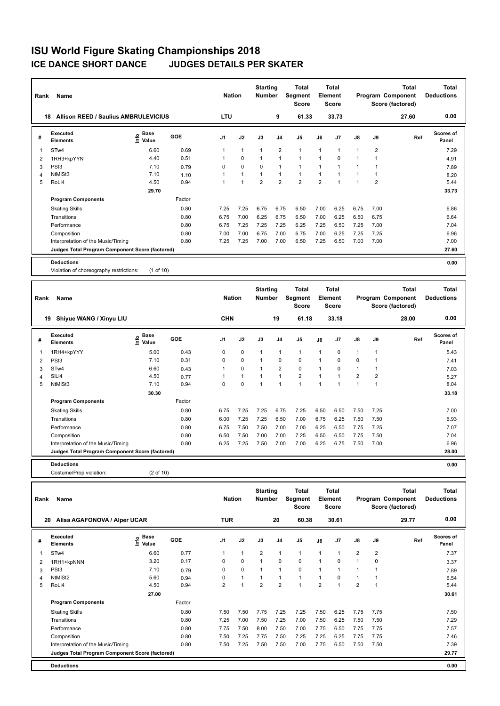| Rank           | Name                                            |                   |        | <b>Nation</b>  |              | <b>Starting</b><br><b>Number</b> |                | <b>Total</b><br>Segment<br><b>Score</b> |                | <b>Total</b><br>Element<br><b>Score</b> |                |                | <b>Total</b><br>Program Component<br>Score (factored) | <b>Total</b><br><b>Deductions</b> |
|----------------|-------------------------------------------------|-------------------|--------|----------------|--------------|----------------------------------|----------------|-----------------------------------------|----------------|-----------------------------------------|----------------|----------------|-------------------------------------------------------|-----------------------------------|
|                | 18 Allison REED / Saulius AMBRULEVICIUS         |                   |        | LTU            |              |                                  | 9              | 61.33                                   |                | 33.73                                   |                |                | 27.60                                                 | 0.00                              |
| #              | <b>Executed</b><br><b>Elements</b>              | e Base<br>E Value | GOE    | J <sub>1</sub> | J2           | J3                               | J4             | J <sub>5</sub>                          | J6             | J7                                      | J8             | J9             | Ref                                                   | Scores of<br>Panel                |
| 1              | STw4                                            | 6.60              | 0.69   | 1              | $\mathbf{1}$ | $\mathbf{1}$                     | $\overline{2}$ | $\mathbf{1}$                            | $\mathbf{1}$   | 1                                       | $\mathbf{1}$   | $\overline{2}$ |                                                       | 7.29                              |
| $\overline{2}$ | 1RH3+kpYYN                                      | 4.40              | 0.51   | 1              | 0            | 1                                | 1              | $\mathbf{1}$                            | $\mathbf{1}$   | 0                                       | $\mathbf{1}$   | $\mathbf{1}$   |                                                       | 4.91                              |
| 3              | PSt <sub>3</sub>                                | 7.10              | 0.79   | 0              | $\mathbf 0$  | $\mathbf 0$                      | 1              | $\mathbf{1}$                            | $\mathbf{1}$   | $\overline{1}$                          | $\mathbf{1}$   | $\mathbf{1}$   |                                                       | 7.89                              |
| $\overline{4}$ | NtMiSt3                                         | 7.10              | 1.10   | 1              | $\mathbf{1}$ | $\mathbf{1}$                     | 1              | $\mathbf{1}$                            | $\mathbf{1}$   | $\mathbf{1}$                            | $\mathbf{1}$   | $\mathbf{1}$   |                                                       | 8.20                              |
| 5              | RoLi4                                           | 4.50              | 0.94   | $\mathbf{1}$   | 1            | $\overline{2}$                   | $\overline{2}$ | $\overline{2}$                          | $\overline{2}$ | $\overline{1}$                          | $\overline{1}$ | $\overline{2}$ |                                                       | 5.44                              |
|                |                                                 | 29.70             |        |                |              |                                  |                |                                         |                |                                         |                |                |                                                       | 33.73                             |
|                | <b>Program Components</b>                       |                   | Factor |                |              |                                  |                |                                         |                |                                         |                |                |                                                       |                                   |
|                | <b>Skating Skills</b>                           |                   | 0.80   | 7.25           | 7.25         | 6.75                             | 6.75           | 6.50                                    | 7.00           | 6.25                                    | 6.75           | 7.00           |                                                       | 6.86                              |
|                | Transitions                                     |                   | 0.80   | 6.75           | 7.00         | 6.25                             | 6.75           | 6.50                                    | 7.00           | 6.25                                    | 6.50           | 6.75           |                                                       | 6.64                              |
|                | Performance                                     |                   | 0.80   | 6.75           | 7.25         | 7.25                             | 7.25           | 6.25                                    | 7.25           | 6.50                                    | 7.25           | 7.00           |                                                       | 7.04                              |
|                | Composition                                     |                   | 0.80   | 7.00           | 7.00         | 6.75                             | 7.00           | 6.75                                    | 7.00           | 6.25                                    | 7.25           | 7.25           |                                                       | 6.96                              |
|                | Interpretation of the Music/Timing              |                   | 0.80   | 7.25           | 7.25         | 7.00                             | 7.00           | 6.50                                    | 7.25           | 6.50                                    | 7.00           | 7.00           |                                                       | 7.00                              |
|                | Judges Total Program Component Score (factored) |                   |        |                |              |                                  |                |                                         |                |                                         |                |                |                                                       | 27.60                             |
|                | <b>Deductions</b>                               |                   |        |                |              |                                  |                |                                         |                |                                         |                |                |                                                       | 0.00                              |
|                | Violation of choreography restrictions:         | $(1$ of $10)$     |        |                |              |                                  |                |                                         |                |                                         |                |                |                                                       |                                   |
|                |                                                 |                   |        |                |              |                                  |                |                                         |                |                                         |                |                |                                                       |                                   |
|                |                                                 |                   |        |                |              |                                  |                |                                         |                |                                         |                |                |                                                       |                                   |
|                |                                                 |                   |        |                |              | <b>Starting</b>                  |                | <b>Total</b>                            |                | <b>Total</b>                            |                |                | <b>Total</b>                                          | <b>Total</b>                      |
| Rank           | Name                                            |                   |        | <b>Nation</b>  |              | Number                           |                | Segment<br><b>Score</b>                 |                | Element<br>Score                        |                |                | Program Component<br>Score (factored)                 | <b>Deductions</b>                 |
|                |                                                 |                   |        |                |              |                                  |                |                                         |                |                                         |                |                |                                                       |                                   |
|                | 19 Shiyue WANG / Xinyu LIU                      |                   |        | CHN            |              |                                  | 19             | 61.18                                   |                | 33.18                                   |                |                | 28.00                                                 | 0.00                              |
| #              | <b>Executed</b><br><b>Elements</b>              | e Base<br>E Value | GOE    | J1             | J2           | J3                               | J4             | J5                                      | J6             | J7                                      | J8             | J9             | Ref                                                   | <b>Scores of</b><br>Panel         |
| $\mathbf{1}$   | 1RH4+kpYYY                                      | 5.00              | 0.43   | 0              | 0            | $\mathbf{1}$                     | 1              | $\mathbf{1}$                            | $\mathbf{1}$   | $\mathbf 0$                             | $\mathbf{1}$   | $\mathbf{1}$   |                                                       | 5.43                              |
| $\overline{2}$ | PSt <sub>3</sub>                                | 7.10              | 0.31   | 0              | 0            | $\mathbf{1}$                     | 0              | 0                                       | $\mathbf{1}$   | 0                                       | $\mathbf 0$    | $\mathbf{1}$   |                                                       | 7.41                              |
| 3              | STw4                                            | 6.60              | 0.43   | 1              | 0            | 1                                | $\overline{2}$ | $\mathbf 0$                             | $\overline{1}$ | 0                                       | $\mathbf{1}$   | $\mathbf{1}$   |                                                       | 7.03                              |
| $\overline{4}$ | SILi4                                           | 4.50              | 0.77   | 1              | 1            | $\mathbf{1}$                     | $\mathbf{1}$   | $\overline{\mathbf{c}}$                 | $\mathbf{1}$   | $\mathbf{1}$                            | $\overline{2}$ | $\overline{2}$ |                                                       | 5.27                              |
| 5              | NtMiSt3                                         | 7.10              | 0.94   | $\Omega$       | 0            | 1                                | 1              | $\mathbf{1}$                            | $\mathbf{1}$   | 1                                       | $\mathbf{1}$   | $\mathbf{1}$   |                                                       | 8.04                              |
|                |                                                 | 30.30             |        |                |              |                                  |                |                                         |                |                                         |                |                |                                                       | 33.18                             |
|                | <b>Program Components</b>                       |                   | Factor |                |              |                                  |                |                                         |                |                                         |                |                |                                                       |                                   |
|                | <b>Skating Skills</b>                           |                   | 0.80   | 6.75           | 7.25         | 7.25                             | 6.75           | 7.25                                    | 6.50           | 6.50                                    | 7.50           | 7.25           |                                                       | 7.00                              |
|                | Transitions                                     |                   | 0.80   | 6.00           | 7.25         | 7.25                             | 6.50           | 7.00                                    | 6.75           | 6.25                                    | 7.50           | 7.50           |                                                       | 6.93                              |
|                | Performance                                     |                   | 0.80   | 6.75           | 7.50         | 7.50                             | 7.00           | 7.00                                    | 6.25           | 6.50                                    | 7.75           | 7.25           |                                                       | 7.07                              |
|                | Composition                                     |                   | 0.80   | 6.50           | 7.50         | 7.00                             | 7.00           | 7.25                                    | 6.50           | 6.50                                    | 7.75           | 7.50           |                                                       | 7.04                              |
|                | Interpretation of the Music/Timing              |                   | 0.80   | 6.25           | 7.25         | 7.50                             | 7.00           | 7.00                                    | 6.25           | 6.75                                    | 7.50           | 7.00           |                                                       | 6.96                              |
|                | Judges Total Program Component Score (factored) |                   |        |                |              |                                  |                |                                         |                |                                         |                |                |                                                       | 28.00                             |

Costume/Prop violation: (2 of 10)

| Rank | Name                                            |                                    |        | <b>Nation</b>  |              | <b>Starting</b><br><b>Number</b> |                | <b>Total</b><br>Segment<br><b>Score</b> |                | <b>Total</b><br>Element<br><b>Score</b> |                |                | <b>Total</b><br>Program Component<br>Score (factored) | <b>Total</b><br><b>Deductions</b> |
|------|-------------------------------------------------|------------------------------------|--------|----------------|--------------|----------------------------------|----------------|-----------------------------------------|----------------|-----------------------------------------|----------------|----------------|-------------------------------------------------------|-----------------------------------|
| 20   | Alisa AGAFONOVA / Alper UCAR                    |                                    |        | <b>TUR</b>     |              |                                  | 20             | 60.38                                   |                | 30.61                                   |                |                | 29.77                                                 | 0.00                              |
| #    | Executed<br><b>Elements</b>                     | <b>Base</b><br>$\frac{6}{5}$ Value | GOE    | J <sub>1</sub> | J2           | J3                               | J4             | J <sub>5</sub>                          | J6             | J7                                      | J8             | J9             | Ref                                                   | <b>Scores of</b><br>Panel         |
| 1    | STw4                                            | 6.60                               | 0.77   | 1              | $\mathbf{1}$ | $\overline{2}$                   | 1              | $\mathbf{1}$                            | $\overline{1}$ | 1                                       | $\overline{2}$ | $\overline{2}$ |                                                       | 7.37                              |
| 2    | 1RH1+kpNNN                                      | 3.20                               | 0.17   | 0              | $\mathbf 0$  | $\mathbf{1}$                     | $\Omega$       | $\mathbf 0$                             | -1             | $\Omega$                                | -1             | $\Omega$       |                                                       | 3.37                              |
| 3    | PSt <sub>3</sub>                                | 7.10                               | 0.79   | 0              | 0            | $\mathbf{1}$                     | 1              | 0                                       | -1             |                                         | 1              |                |                                                       | 7.89                              |
| 4    | NtMiSt2                                         | 5.60                               | 0.94   | 0              | $\mathbf{1}$ | $\mathbf{1}$                     | 1              | $\mathbf{1}$                            | -1             | $\Omega$                                | -1             |                |                                                       | 6.54                              |
| 5    | RoLi4                                           | 4.50                               | 0.94   | $\overline{2}$ | 1            | $\overline{2}$                   | $\overline{2}$ | $\overline{1}$                          | $\overline{2}$ |                                         | $\overline{2}$ | и              |                                                       | 5.44                              |
|      |                                                 | 27.00                              |        |                |              |                                  |                |                                         |                |                                         |                |                |                                                       | 30.61                             |
|      | <b>Program Components</b>                       |                                    | Factor |                |              |                                  |                |                                         |                |                                         |                |                |                                                       |                                   |
|      | <b>Skating Skills</b>                           |                                    | 0.80   | 7.50           | 7.50         | 7.75                             | 7.25           | 7.25                                    | 7.50           | 6.25                                    | 7.75           | 7.75           |                                                       | 7.50                              |
|      | Transitions                                     |                                    | 0.80   | 7.25           | 7.00         | 7.50                             | 7.25           | 7.00                                    | 7.50           | 6.25                                    | 7.50           | 7.50           |                                                       | 7.29                              |
|      | Performance                                     |                                    | 0.80   | 7.75           | 7.50         | 8.00                             | 7.50           | 7.00                                    | 7.75           | 6.50                                    | 7.75           | 7.75           |                                                       | 7.57                              |
|      | Composition                                     |                                    | 0.80   | 7.50           | 7.25         | 7.75                             | 7.50           | 7.25                                    | 7.25           | 6.25                                    | 7.75           | 7.75           |                                                       | 7.46                              |
|      | Interpretation of the Music/Timing              |                                    | 0.80   | 7.50           | 7.25         | 7.50                             | 7.50           | 7.00                                    | 7.75           | 6.50                                    | 7.50           | 7.50           |                                                       | 7.39                              |
|      | Judges Total Program Component Score (factored) |                                    |        |                |              |                                  |                |                                         |                |                                         |                |                |                                                       | 29.77                             |
|      | <b>Deductions</b>                               |                                    |        |                |              |                                  |                |                                         |                |                                         |                |                |                                                       | 0.00                              |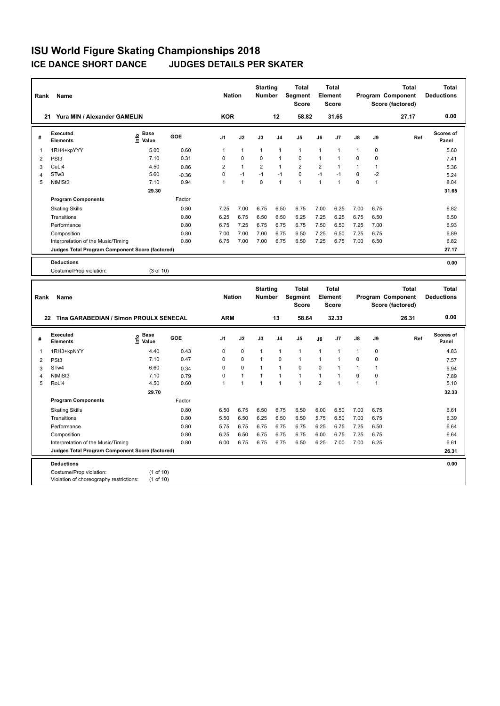| Rank                | Name                                                   |                   |         | <b>Nation</b>  |              | <b>Starting</b><br><b>Number</b> |                | <b>Total</b><br>Segment<br><b>Score</b> |                | <b>Total</b><br><b>Element</b><br><b>Score</b> |              |              | <b>Total</b><br>Program Component<br>Score (factored) | <b>Total</b><br><b>Deductions</b> |
|---------------------|--------------------------------------------------------|-------------------|---------|----------------|--------------|----------------------------------|----------------|-----------------------------------------|----------------|------------------------------------------------|--------------|--------------|-------------------------------------------------------|-----------------------------------|
|                     | 21 Yura MIN / Alexander GAMELIN                        |                   |         | <b>KOR</b>     |              |                                  | 12             | 58.82                                   |                | 31.65                                          |              |              | 27.17                                                 | 0.00                              |
| #                   | Executed<br><b>Elements</b>                            | e Base<br>⊆ Value | GOE     | J <sub>1</sub> | J2           | J3                               | J <sub>4</sub> | J5                                      | J6             | J7                                             | J8           | J9           | Ref                                                   | Scores of<br>Panel                |
| 1                   | 1RH4+kpYYY                                             | 5.00              | 0.60    | $\mathbf{1}$   | $\mathbf{1}$ | $\mathbf{1}$                     | $\mathbf{1}$   | $\mathbf{1}$                            | 1              | $\mathbf{1}$                                   | 1            | 0            |                                                       | 5.60                              |
| 2                   | PSt <sub>3</sub>                                       | 7.10              | 0.31    | 0              | 0            | 0                                | $\overline{1}$ | $\mathbf 0$                             | $\mathbf{1}$   | 1                                              | 0            | 0            |                                                       | 7.41                              |
| 3                   | CuLi4                                                  | 4.50              | 0.86    | $\overline{2}$ | $\mathbf{1}$ | $\overline{\mathbf{c}}$          | $\overline{1}$ | $\overline{2}$                          | $\overline{2}$ | $\mathbf{1}$                                   | $\mathbf{1}$ | 1            |                                                       | 5.36                              |
| 4                   | STw <sub>3</sub>                                       | 5.60              | $-0.36$ | 0              | $-1$         | $-1$                             | $-1$           | $\mathbf 0$                             | $-1$           | $-1$                                           | 0            | $-2$         |                                                       | 5.24                              |
| 5                   | NtMiSt3                                                | 7.10              | 0.94    | $\mathbf{1}$   | $\mathbf{1}$ | $\mathbf 0$                      | $\overline{1}$ | $\overline{1}$                          | $\mathbf{1}$   | $\mathbf{1}$                                   | $\mathbf 0$  | $\mathbf{1}$ |                                                       | 8.04                              |
|                     |                                                        | 29.30             |         |                |              |                                  |                |                                         |                |                                                |              |              |                                                       | 31.65                             |
|                     | <b>Program Components</b>                              |                   | Factor  |                |              |                                  |                |                                         |                |                                                |              |              |                                                       |                                   |
|                     | <b>Skating Skills</b>                                  |                   | 0.80    | 7.25           | 7.00         | 6.75                             | 6.50           | 6.75                                    | 7.00           | 6.25                                           | 7.00         | 6.75         |                                                       | 6.82                              |
|                     | Transitions                                            |                   | 0.80    | 6.25           | 6.75         | 6.50                             | 6.50           | 6.25                                    | 7.25           | 6.25                                           | 6.75         | 6.50         |                                                       | 6.50                              |
|                     | Performance                                            |                   | 0.80    | 6.75           | 7.25         | 6.75                             | 6.75           | 6.75                                    | 7.50           | 6.50                                           | 7.25         | 7.00         |                                                       | 6.93                              |
|                     | Composition                                            |                   | 0.80    | 7.00           | 7.00         | 7.00                             | 6.75           | 6.50                                    | 7.25           | 6.50                                           | 7.25         | 6.75         |                                                       | 6.89                              |
|                     | Interpretation of the Music/Timing                     |                   | 0.80    | 6.75           | 7.00         | 7.00                             | 6.75           | 6.50                                    | 7.25           | 6.75                                           | 7.00         | 6.50         |                                                       | 6.82                              |
|                     | Judges Total Program Component Score (factored)        |                   |         |                |              |                                  |                |                                         |                |                                                |              |              |                                                       | 27.17                             |
|                     | <b>Deductions</b>                                      |                   |         |                |              |                                  |                |                                         |                |                                                |              |              |                                                       | 0.00                              |
|                     | Costume/Prop violation:                                | (3 of 10)         |         |                |              |                                  |                |                                         |                |                                                |              |              |                                                       |                                   |
|                     |                                                        |                   |         |                |              |                                  |                |                                         |                |                                                |              |              |                                                       |                                   |
|                     |                                                        |                   |         |                |              |                                  |                |                                         |                |                                                |              |              |                                                       |                                   |
| Rank                | Name                                                   |                   |         | <b>Nation</b>  |              | <b>Starting</b><br>Number        |                | <b>Total</b><br>Segment<br><b>Score</b> |                | <b>Total</b><br><b>Element</b><br>Score        |              |              | <b>Total</b><br>Program Component<br>Score (factored) | <b>Total</b><br><b>Deductions</b> |
|                     | 22 Tina GARABEDIAN / Simon PROULX SENECAL              |                   |         | <b>ARM</b>     |              |                                  | 13             | 58.64                                   |                | 32.33                                          |              |              | 26.31                                                 | 0.00                              |
| #                   | <b>Executed</b><br><b>Elements</b>                     | 은 Base<br>트 Value | GOE     | J <sub>1</sub> | J2           | J3                               | J <sub>4</sub> | J5                                      | J6             | J7                                             | J8           | J9           | Ref                                                   | <b>Scores of</b><br>Panel         |
| 1                   |                                                        | 4.40              | 0.43    | 0              | $\pmb{0}$    | 1                                | $\overline{1}$ | $\mathbf{1}$                            | 1              | 1                                              | $\mathbf{1}$ | 0            |                                                       | 4.83                              |
|                     | 1RH3+kpNYY                                             | 7.10              | 0.47    | 0              | $\mathbf 0$  | $\mathbf{1}$                     | $\pmb{0}$      | $\mathbf{1}$                            | $\mathbf{1}$   | $\mathbf{1}$                                   | 0            | 0            |                                                       |                                   |
| $\overline{2}$<br>3 | PSt <sub>3</sub><br>STw4                               | 6.60              | 0.34    | 0              | $\Omega$     | $\mathbf{1}$                     | $\overline{1}$ | $\mathbf 0$                             | $\mathbf 0$    | $\mathbf{1}$                                   | 1            | $\mathbf{1}$ |                                                       | 7.57                              |
| $\overline{4}$      | NtMiSt3                                                | 7.10              | 0.79    | 0              | $\mathbf{1}$ | $\mathbf{1}$                     | $\overline{1}$ | $\mathbf{1}$                            | $\mathbf{1}$   | $\mathbf{1}$                                   | 0            | 0            |                                                       | 6.94<br>7.89                      |
| 5                   | RoLi4                                                  | 4.50              | 0.60    | $\mathbf{1}$   | $\mathbf{1}$ | 1                                | $\overline{1}$ | $\mathbf{1}$                            | $\overline{2}$ | $\overline{1}$                                 | $\mathbf{1}$ | $\mathbf{1}$ |                                                       | 5.10                              |
|                     |                                                        | 29.70             |         |                |              |                                  |                |                                         |                |                                                |              |              |                                                       | 32.33                             |
|                     | <b>Program Components</b>                              |                   | Factor  |                |              |                                  |                |                                         |                |                                                |              |              |                                                       |                                   |
|                     | <b>Skating Skills</b>                                  |                   | 0.80    | 6.50           | 6.75         | 6.50                             | 6.75           | 6.50                                    | 6.00           | 6.50                                           | 7.00         | 6.75         |                                                       | 6.61                              |
|                     | Transitions                                            |                   | 0.80    | 5.50           | 6.50         | 6.25                             | 6.50           | 6.50                                    | 5.75           | 6.50                                           | 7.00         | 6.75         |                                                       | 6.39                              |
|                     | Performance                                            |                   | 0.80    | 5.75           | 6.75         | 6.75                             | 6.75           | 6.75                                    | 6.25           | 6.75                                           | 7.25         | 6.50         |                                                       | 6.64                              |
|                     | Composition                                            |                   | 0.80    | 6.25           | 6.50         | 6.75                             | 6.75           | 6.75                                    | 6.00           | 6.75                                           | 7.25         | 6.75         |                                                       | 6.64                              |
|                     | Interpretation of the Music/Timing                     |                   | 0.80    | 6.00           | 6.75         | 6.75                             | 6.75           | 6.50                                    | 6.25           | 7.00                                           | 7.00         | 6.25         |                                                       | 6.61                              |
|                     | <b>Judges Total Program Component Score (factored)</b> |                   |         |                |              |                                  |                |                                         |                |                                                |              |              |                                                       | 26.31                             |

Costume/Prop violation: (1 of 10) Violation of choreography restrictions: (1 of 10)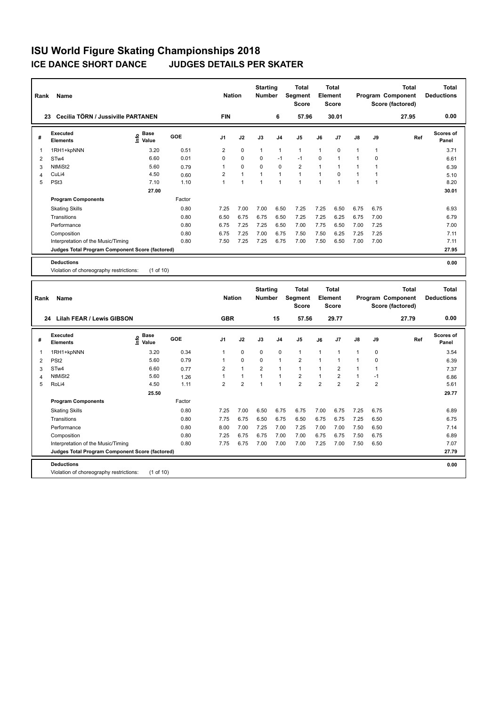**Program Components** 

Violation of choreography restrictions: (1 of 10)

| Rank           | Name                                            |                                  |            | <b>Nation</b>  |                | <b>Starting</b><br>Number        |                | <b>Total</b><br>Segment<br><b>Score</b> |                | Total<br>Element<br><b>Score</b>        |                |                | <b>Total</b><br>Program Component<br>Score (factored) | <b>Total</b><br><b>Deductions</b> |
|----------------|-------------------------------------------------|----------------------------------|------------|----------------|----------------|----------------------------------|----------------|-----------------------------------------|----------------|-----------------------------------------|----------------|----------------|-------------------------------------------------------|-----------------------------------|
| 23             | Cecilia TÖRN / Jussiville PARTANEN              |                                  |            | <b>FIN</b>     |                |                                  | 6              | 57.96                                   |                | 30.01                                   |                |                | 27.95                                                 | 0.00                              |
| #              | Executed<br><b>Elements</b>                     | <b>Base</b><br>o Base<br>⊆ Value | GOE        | J <sub>1</sub> | J2             | J3                               | J4             | J <sub>5</sub>                          | J6             | J7                                      | J8             | J9             | Ref                                                   | Scores of<br>Panel                |
| 1              | 1RH1+kpNNN                                      | 3.20                             | 0.51       | 2              | $\mathbf 0$    | $\mathbf{1}$                     | $\mathbf{1}$   | $\mathbf{1}$                            | $\mathbf{1}$   | 0                                       | $\mathbf{1}$   | $\mathbf{1}$   |                                                       | 3.71                              |
| $\overline{2}$ | STw4                                            | 6.60                             | 0.01       | 0              | $\Omega$       | $\Omega$                         | $-1$           | $-1$                                    | $\Omega$       | $\mathbf{1}$                            | $\mathbf{1}$   | 0              |                                                       | 6.61                              |
| 3              | NtMiSt2                                         | 5.60                             | 0.79       | $\mathbf{1}$   | $\Omega$       | $\mathbf 0$                      | $\mathbf 0$    | $\overline{2}$                          | $\mathbf{1}$   | $\mathbf{1}$                            | $\mathbf{1}$   | $\mathbf{1}$   |                                                       | 6.39                              |
| 4              | CuLi4                                           | 4.50                             | 0.60       | $\overline{2}$ | $\mathbf{1}$   | $\mathbf{1}$                     | $\overline{1}$ | $\mathbf{1}$                            | $\mathbf{1}$   | $\Omega$                                | $\mathbf{1}$   | $\mathbf{1}$   |                                                       | 5.10                              |
| 5              | PSt <sub>3</sub>                                | 7.10                             | 1.10       | $\mathbf{1}$   | $\overline{1}$ | $\mathbf{1}$                     | $\overline{1}$ | $\mathbf{1}$                            | $\mathbf{1}$   | $\mathbf{1}$                            | $\mathbf{1}$   | $\overline{1}$ |                                                       | 8.20                              |
|                |                                                 | 27.00                            |            |                |                |                                  |                |                                         |                |                                         |                |                |                                                       | 30.01                             |
|                | <b>Program Components</b>                       |                                  | Factor     |                |                |                                  |                |                                         |                |                                         |                |                |                                                       |                                   |
|                | <b>Skating Skills</b>                           |                                  | 0.80       | 7.25           | 7.00           | 7.00                             | 6.50           | 7.25                                    | 7.25           | 6.50                                    | 6.75           | 6.75           |                                                       | 6.93                              |
|                | Transitions                                     |                                  | 0.80       | 6.50           | 6.75           | 6.75                             | 6.50           | 7.25                                    | 7.25           | 6.25                                    | 6.75           | 7.00           |                                                       | 6.79                              |
|                | Performance                                     |                                  | 0.80       | 6.75           | 7.25           | 7.25                             | 6.50           | 7.00                                    | 7.75           | 6.50                                    | 7.00           | 7.25           |                                                       | 7.00                              |
|                | Composition                                     |                                  | 0.80       | 6.75           | 7.25           | 7.00                             | 6.75           | 7.50                                    | 7.50           | 6.25                                    | 7.25           | 7.25           |                                                       | 7.11                              |
|                | Interpretation of the Music/Timing              |                                  | 0.80       | 7.50           | 7.25           | 7.25                             | 6.75           | 7.00                                    | 7.50           | 6.50                                    | 7.00           | 7.00           |                                                       | 7.11                              |
|                | Judges Total Program Component Score (factored) |                                  |            |                |                |                                  |                |                                         |                |                                         |                |                |                                                       | 27.95                             |
|                | <b>Deductions</b>                               |                                  |            |                |                |                                  |                |                                         |                |                                         |                |                |                                                       | 0.00                              |
|                | Violation of choreography restrictions:         | (1 of 10)                        |            |                |                |                                  |                |                                         |                |                                         |                |                |                                                       |                                   |
|                |                                                 |                                  |            |                |                |                                  |                |                                         |                |                                         |                |                |                                                       |                                   |
| Rank           | Name                                            |                                  |            | <b>Nation</b>  |                | <b>Starting</b><br><b>Number</b> |                | <b>Total</b><br>Segment<br><b>Score</b> |                | <b>Total</b><br>Element<br><b>Score</b> |                |                | <b>Total</b><br>Program Component<br>Score (factored) | <b>Total</b><br><b>Deductions</b> |
|                | 24 Lilah FEAR / Lewis GIBSON                    |                                  |            | <b>GBR</b>     |                |                                  | 15             | 57.56                                   |                | 29.77                                   |                |                | 27.79                                                 | 0.00                              |
| #              | <b>Executed</b><br><b>Elements</b>              | <b>Base</b><br>۴ů<br>Value       | <b>GOE</b> | J1             | J2             | J3                               | J4             | J <sub>5</sub>                          | J6             | J7                                      | J8             | J9             | Ref                                                   | Scores of<br>Panel                |
| 1              | 1RH1+kpNNN                                      | 3.20                             | 0.34       | $\mathbf{1}$   | $\mathbf 0$    | $\mathbf 0$                      | $\mathbf 0$    | $\mathbf{1}$                            | 1              | $\mathbf{1}$                            | $\mathbf{1}$   | 0              |                                                       | 3.54                              |
| $\overline{2}$ | PS <sub>t2</sub>                                | 5.60                             | 0.79       | $\mathbf{1}$   | $\mathbf 0$    | $\Omega$                         | $\mathbf{1}$   | $\overline{2}$                          | $\mathbf{1}$   | $\mathbf{1}$                            | $\mathbf{1}$   | 0              |                                                       | 6.39                              |
| 3              | STw4                                            | 6.60                             | 0.77       | 2              | $\mathbf{1}$   | $\overline{2}$                   | $\mathbf{1}$   | $\mathbf{1}$                            | $\mathbf{1}$   | $\overline{2}$                          | $\mathbf{1}$   | $\mathbf{1}$   |                                                       | 7.37                              |
| $\overline{4}$ | NtMiSt2                                         | 5.60                             | 1.26       | $\mathbf{1}$   | $\mathbf{1}$   | $\overline{1}$                   | $\overline{1}$ | $\overline{2}$                          | $\mathbf{1}$   | $\overline{2}$                          | $\mathbf{1}$   | $-1$           |                                                       | 6.86                              |
| 5              | RoLi4                                           | 4.50                             | 1.11       | $\overline{2}$ | $\overline{2}$ | $\mathbf{1}$                     | $\mathbf{1}$   | $\overline{2}$                          | $\overline{2}$ | $\overline{2}$                          | $\overline{2}$ | $\overline{2}$ |                                                       | 5.61                              |
|                |                                                 | 25.50                            |            |                |                |                                  |                |                                         |                |                                         |                |                |                                                       | 29.77                             |

Skating Skills 0.80 7.25 7.00 6.75 6.75 7.00 6.75 7.25 6.75 6.89

Transitions 0.80 7.75 6.75 6.50 6.75 6.50 6.75 6.75 7.25 6.50 6.75 Performance 0.80 8.00 7.00 7.25 7.00 7.25 7.00 7.00 7.50 6.50 7.14 Composition 0.80 7.25 6.75 6.75 7.00 7.00 6.75 6.75 7.50 6.75 6.75 6.89 Interpretation of the Music/Timing 0.80 7.75 6.75 7.00 7.00 7.00 7.25 7.00 7.50 6.50 7.07 7.07

**Deductions 0.00 Judges Total Program Component Score (factored) 27.79**

Factor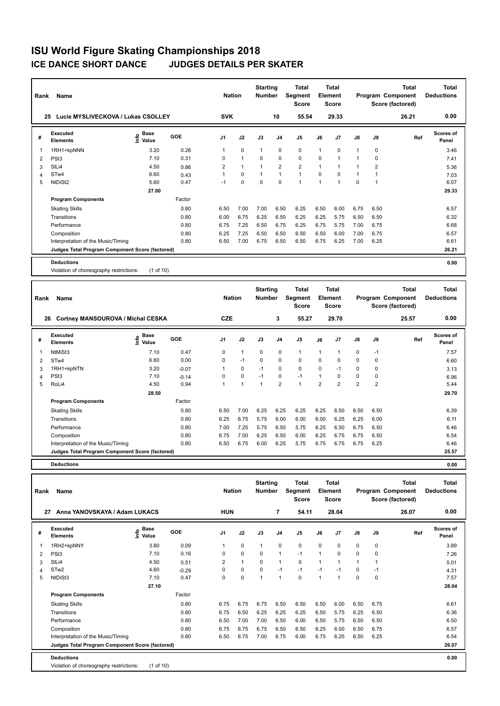| Rank           | Name                                              |                                  |                    | <b>Nation</b>  |              | <b>Starting</b><br><b>Number</b> |                | <b>Total</b><br>Segment<br><b>Score</b> |                | <b>Total</b><br>Element<br><b>Score</b> |                |                | <b>Total</b><br>Program Component<br>Score (factored) | <b>Total</b><br><b>Deductions</b> |
|----------------|---------------------------------------------------|----------------------------------|--------------------|----------------|--------------|----------------------------------|----------------|-----------------------------------------|----------------|-----------------------------------------|----------------|----------------|-------------------------------------------------------|-----------------------------------|
|                | 25 Lucie MYSLIVECKOVA / Lukas CSOLLEY             |                                  |                    | <b>SVK</b>     |              |                                  | 10             | 55.54                                   |                | 29.33                                   |                |                | 26.21                                                 | 0.00                              |
| #              | <b>Executed</b><br><b>Elements</b>                | e Base<br>E Value                | GOE                | J1             | J2           | J3                               | J4             | J <sub>5</sub>                          | J6             | J7                                      | J8             | J9             | Ref                                                   | <b>Scores of</b><br>Panel         |
| 1              | 1RH1+kpNNN                                        | 3.20                             | 0.26               | 1              | 0            | $\mathbf{1}$                     | 0              | 0                                       | $\mathbf{1}$   | 0                                       | $\mathbf{1}$   | 0              |                                                       | 3.46                              |
| 2              | PSt <sub>3</sub>                                  | 7.10                             | 0.31               | $\mathbf 0$    | $\mathbf{1}$ | $\mathbf 0$                      | 0              | 0                                       | $\mathbf 0$    | 1                                       | $\mathbf{1}$   | $\mathbf 0$    |                                                       | 7.41                              |
| 3              | SILi4                                             | 4.50                             | 0.86               | $\overline{2}$ | $\mathbf{1}$ | 1                                | $\overline{2}$ | $\overline{2}$                          | $\mathbf{1}$   | $\mathbf{1}$                            | $\mathbf{1}$   | $\overline{2}$ |                                                       | 5.36                              |
| 4              | STw4                                              | 6.60                             | 0.43               | 1              | 0            | $\mathbf{1}$                     | $\mathbf{1}$   | $\mathbf{1}$                            | $\mathbf 0$    | $\mathbf 0$                             | $\mathbf{1}$   | $\mathbf{1}$   |                                                       | 7.03                              |
| 5              | NtDiSt2                                           | 5.60                             | 0.47               | $-1$           | 0            | 0                                | 0              | $\mathbf{1}$                            | $\mathbf{1}$   | $\mathbf{1}$                            | $\mathbf 0$    | $\mathbf{1}$   |                                                       | 6.07                              |
|                |                                                   | 27.00                            |                    |                |              |                                  |                |                                         |                |                                         |                |                |                                                       | 29.33                             |
|                | <b>Program Components</b>                         |                                  | Factor             |                |              |                                  |                |                                         |                |                                         |                |                |                                                       |                                   |
|                | <b>Skating Skills</b>                             |                                  | 0.80               | 6.50           | 7.00         | 7.00                             | 6.50           | 6.25                                    | 6.50           | 6.00                                    | 6.75           | 6.50           |                                                       | 6.57                              |
|                | Transitions                                       |                                  | 0.80               | 6.00           | 6.75         | 6.25                             | 6.50           | 6.25                                    | 6.25           | 5.75                                    | 6.50           | 6.50           |                                                       | 6.32                              |
|                | Performance                                       |                                  | 0.80               | 6.75           | 7.25         | 6.50                             | 6.75           | 6.25                                    | 6.75           | 5.75                                    | 7.00           | 6.75           |                                                       | 6.68                              |
|                | Composition                                       |                                  | 0.80               | 6.25           | 7.25         | 6.50                             | 6.50           | 6.50                                    | 6.50           | 6.00                                    | 7.00           | 6.75           |                                                       | 6.57                              |
|                | Interpretation of the Music/Timing                |                                  | 0.80               | 6.50           | 7.00         | 6.75                             | 6.50           | 6.50                                    | 6.75           | 6.25                                    | 7.00           | 6.25           |                                                       | 6.61                              |
|                | Judges Total Program Component Score (factored)   |                                  |                    |                |              |                                  |                |                                         |                |                                         |                |                |                                                       | 26.21                             |
|                | <b>Deductions</b>                                 |                                  |                    |                |              |                                  |                |                                         |                |                                         |                |                |                                                       | 0.00                              |
|                | Violation of choreography restrictions:           | (1 of 10)                        |                    |                |              |                                  |                |                                         |                |                                         |                |                |                                                       |                                   |
|                |                                                   |                                  |                    |                |              |                                  |                |                                         |                |                                         |                |                |                                                       |                                   |
|                |                                                   |                                  |                    |                |              |                                  |                |                                         |                |                                         |                |                |                                                       |                                   |
| Rank           | Name                                              |                                  |                    | <b>Nation</b>  |              | <b>Starting</b><br>Number        |                | <b>Total</b><br>Segment                 |                | <b>Total</b><br><b>Element</b>          |                |                | <b>Total</b><br>Program Component                     | <b>Total</b><br><b>Deductions</b> |
|                |                                                   |                                  |                    |                |              |                                  |                | <b>Score</b>                            |                | Score                                   |                |                | Score (factored)                                      |                                   |
|                | 26 Cortney MANSOUROVA / Michal CESKA              |                                  |                    | <b>CZE</b>     |              |                                  | 3              | 55.27                                   |                | 29.70                                   |                |                | 25.57                                                 | 0.00                              |
| #              | <b>Executed</b><br><b>Elements</b>                | <b>Base</b><br>e Base<br>⊆ Value | GOE                | J <sub>1</sub> | J2           | J3                               | J4             | J <sub>5</sub>                          | J6             | J7                                      | J8             | J9             | Ref                                                   | <b>Scores of</b><br>Panel         |
| $\mathbf{1}$   | NtMiSt3                                           | 7.10                             | 0.47               | $\mathbf 0$    | $\mathbf{1}$ | 0                                | 0              | $\mathbf{1}$                            | $\mathbf{1}$   | $\mathbf{1}$                            | $\mathbf 0$    | $-1$           |                                                       | 7.57                              |
|                |                                                   | 6.60                             | 0.00               | $\mathbf 0$    | $-1$         | 0                                | 0              | $\mathbf 0$                             | $\mathbf 0$    | $\mathbf 0$                             | $\mathbf 0$    | $\mathbf 0$    |                                                       |                                   |
| $\overline{2}$ | STw4                                              |                                  |                    | $\mathbf{1}$   | 0            | $-1$                             | 0              | $\mathbf 0$                             | $\mathbf 0$    | $-1$                                    | $\mathbf 0$    | $\mathbf 0$    |                                                       | 6.60                              |
| 3<br>4         | 1RH1+kpNTN<br>PSt <sub>3</sub>                    | 3.20<br>7.10                     | $-0.07$<br>$-0.14$ | $\mathbf 0$    | 0            | $-1$                             | 0              | $-1$                                    | $\mathbf{1}$   | $\mathbf 0$                             | $\pmb{0}$      | 0              |                                                       | 3.13                              |
| 5              | RoLi4                                             | 4.50                             | 0.94               | 1              | 1            | $\mathbf{1}$                     | $\overline{2}$ | $\mathbf{1}$                            | $\overline{2}$ | $\overline{2}$                          | $\overline{2}$ | $\overline{2}$ |                                                       | 6.96<br>5.44                      |
|                |                                                   | 28.50                            |                    |                |              |                                  |                |                                         |                |                                         |                |                |                                                       | 29.70                             |
|                | <b>Program Components</b>                         |                                  | Factor             |                |              |                                  |                |                                         |                |                                         |                |                |                                                       |                                   |
|                |                                                   |                                  |                    | 6.50           |              |                                  |                |                                         |                |                                         |                |                |                                                       |                                   |
|                | <b>Skating Skills</b>                             |                                  | 0.80               |                | 7.00         | 6.25                             | 6.25           | 6.25                                    | 6.25           | 6.50                                    | 6.50           | 6.50           |                                                       | 6.39                              |
|                | Transitions                                       |                                  | 0.80               | 6.25           | 6.75         | 5.75                             | 6.00           | 6.00                                    | 6.00           | 6.25                                    | 6.25           | 6.00           |                                                       | 6.11                              |
|                | Performance                                       |                                  | 0.80               | 7.00           | 7.25         | 5.75                             | 6.50           | 5.75                                    | 6.25           | 6.50                                    | 6.75           | 6.50           |                                                       | 6.46                              |
|                | Composition<br>Interpretation of the Music/Timing |                                  | 0.80<br>0.80       | 6.75<br>6.50   | 7.00<br>6.75 | 6.25<br>6.00                     | 6.50<br>6.25   | 6.00<br>5.75                            | 6.25<br>6.75   | 6.75<br>6.75                            | 6.75<br>6.75   | 6.50<br>6.25   |                                                       | 6.54<br>6.46                      |

**Total Deductions Total Program Component Score (factored) Total Element Segment Score Total Score Starting Rank Name Nation Number # Executed Elements Base Value GOE J1 J2 J3 J4 J5 J6 J7 J8 J9 Scores of Panel** 1 3.80 0.09 1 0 1 0 0 0 0 0 0 **Ref**  1RH2+kpNNY 3.89 **Info 27 Anna YANOVSKAYA / Adam LUKACS HUN 7 54.11 28.04 26.07 0.00** 2 PSt3 7.10 0.16 0 0 0 1 -1 1 0 0 0 7.26 3 SlLi4 4.50 0.51 2 1 0 1 0 1 1 1 1 5.01 4 STw2 4.60 -0.29 0 0 0 -1 -1 -1 -1 0 -1 4.31 5 NtDiSt3 7.10 0.47 0 0 1 1 0 1 1 0 0 7.57  **27.10 28.04 Program Components**  Skating Skills 6.75 6.75 6.75 6.50 6.50 6.50 6.00 6.50 6.75 0.80 6.61 Factor Transitions 0.80 6.75 6.50 6.25 6.25 6.25 6.50 5.75 6.25 6.50 6.36 Performance 0.80 6.50 7.00 7.00 6.50 6.00 6.50 5.75 6.50 6.50 6.50 Composition 0.80 6.75 6.75 6.75 6.75 6.50 6.50 6.25 6.00 6.50 6.75 6.57 6.57 Interpretation of the Music/Timing 0.80 6.50 6.75 6.00 6.75 6.00 6.75 6.25 6.50 6.25 6.54 **Deductions 0.00 Judges Total Program Component Score (factored) 26.07** Violation of choreography restrictions: (1 of 10)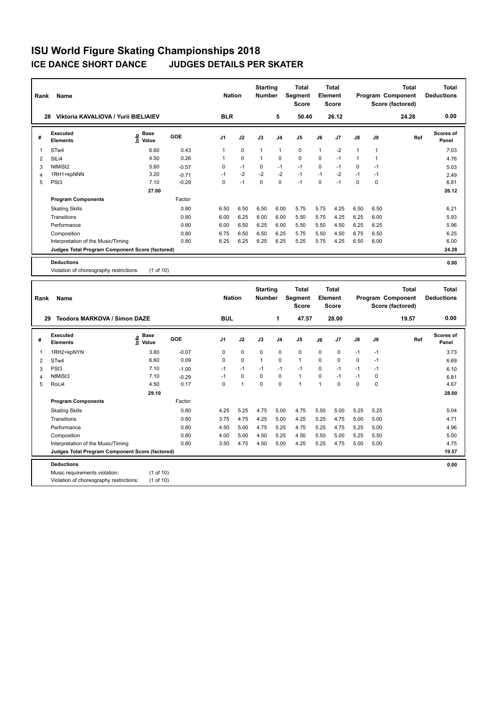Music requirements violation: (1 of 10)<br>Violation of choreography restrictions: (1 of 10) Violation of choreography restrictions:

| Rank           | Name                                            |                                           |         | <b>Nation</b>  |              | <b>Starting</b><br><b>Number</b> |                | <b>Total</b><br>Segment<br><b>Score</b> |              | <b>Total</b><br>Element<br><b>Score</b> |              |              | <b>Total</b><br>Program Component<br>Score (factored) | <b>Total</b><br><b>Deductions</b> |
|----------------|-------------------------------------------------|-------------------------------------------|---------|----------------|--------------|----------------------------------|----------------|-----------------------------------------|--------------|-----------------------------------------|--------------|--------------|-------------------------------------------------------|-----------------------------------|
|                | Viktoria KAVALIOVA / Yurii BIELIAIEV<br>28      |                                           |         | <b>BLR</b>     |              |                                  | 5              | 50.40                                   |              | 26.12                                   |              |              | 24.28                                                 | 0.00                              |
| #              | <b>Executed</b><br><b>Elements</b>              | $\frac{e}{E}$ Base<br>$\frac{e}{E}$ Value | GOE     | J1             | J2           | J3                               | J <sub>4</sub> | J5                                      | J6           | J7                                      | J8           | J9           | Ref                                                   | <b>Scores of</b><br>Panel         |
| 1              | STw4                                            | 6.60                                      | 0.43    | 1              | 0            | $\mathbf{1}$                     | $\overline{1}$ | $\mathbf 0$                             | $\mathbf{1}$ | $-2$                                    | 1            | 1            |                                                       | 7.03                              |
| $\overline{2}$ | SILi4                                           | 4.50                                      | 0.26    | 1              | 0            | $\mathbf{1}$                     | $\pmb{0}$      | $\mathbf 0$                             | 0            | $-1$                                    | $\mathbf{1}$ | $\mathbf{1}$ |                                                       | 4.76                              |
| 3              | NtMiSt2                                         | 5.60                                      | $-0.57$ | 0              | $-1$         | 0                                | $-1$           | $-1$                                    | $\mathbf 0$  | $-1$                                    | $\Omega$     | $-1$         |                                                       | 5.03                              |
| 4              | 1RH1+kpNNN                                      | 3.20                                      | $-0.71$ | $-1$           | $-2$         | $-2$                             | $-2$           | $-1$                                    | $-1$         | $-2$                                    | $-1$         | $-1$         |                                                       | 2.49                              |
| 5              | PSt <sub>3</sub>                                | 7.10                                      | $-0.29$ | $\overline{0}$ | $-1$         | $\mathbf 0$                      | $\Omega$       | $-1$                                    | $\Omega$     | $-1$                                    | $\mathbf 0$  | 0            |                                                       | 6.81                              |
|                |                                                 | 27.00                                     |         |                |              |                                  |                |                                         |              |                                         |              |              |                                                       | 26.12                             |
|                | <b>Program Components</b>                       |                                           | Factor  |                |              |                                  |                |                                         |              |                                         |              |              |                                                       |                                   |
|                | <b>Skating Skills</b>                           |                                           | 0.80    | 6.50           | 6.50         | 6.50                             | 6.00           | 5.75                                    | 5.75         | 4.25                                    | 6.50         | 6.50         |                                                       | 6.21                              |
|                | Transitions                                     |                                           | 0.80    | 6.00           | 6.25         | 6.00                             | 6.00           | 5.50                                    | 5.75         | 4.25                                    | 6.25         | 6.00         |                                                       | 5.93                              |
|                | Performance                                     |                                           | 0.80    | 6.00           | 6.50         | 6.25                             | 6.00           | 5.50                                    | 5.50         | 4.50                                    | 6.25         | 6.25         |                                                       | 5.96                              |
|                | Composition                                     |                                           | 0.80    | 6.75           | 6.50         | 6.50                             | 6.25           | 5.75                                    | 5.50         | 4.50                                    | 6.75         | 6.50         |                                                       | 6.25                              |
|                | Interpretation of the Music/Timing              |                                           | 0.80    | 6.25           | 6.25         | 6.25                             | 6.25           | 5.25                                    | 5.75         | 4.25                                    | 6.50         | 6.00         |                                                       | 6.00                              |
|                | Judges Total Program Component Score (factored) |                                           |         |                |              |                                  |                |                                         |              |                                         |              |              |                                                       | 24.28                             |
|                | <b>Deductions</b>                               |                                           |         |                |              |                                  |                |                                         |              |                                         |              |              |                                                       | 0.00                              |
|                | Violation of choreography restrictions:         | (1 of 10)                                 |         |                |              |                                  |                |                                         |              |                                         |              |              |                                                       |                                   |
|                |                                                 |                                           |         |                |              |                                  |                |                                         |              |                                         |              |              |                                                       |                                   |
|                |                                                 |                                           |         |                |              |                                  |                |                                         |              |                                         |              |              |                                                       |                                   |
|                |                                                 |                                           |         | <b>Nation</b>  |              | <b>Starting</b><br><b>Number</b> |                | <b>Total</b><br>Segment                 |              | Total                                   |              |              | <b>Total</b><br>Program Component                     | <b>Total</b>                      |
| Rank           | Name                                            |                                           |         |                |              |                                  |                | <b>Score</b>                            |              | <b>Element</b><br><b>Score</b>          |              |              | Score (factored)                                      | <b>Deductions</b>                 |
|                |                                                 |                                           |         |                |              |                                  |                |                                         |              |                                         |              |              |                                                       |                                   |
|                | Teodora MARKOVA / Simon DAZE<br>29              |                                           |         | <b>BUL</b>     |              |                                  | $\mathbf{1}$   | 47.57                                   |              | 28.00                                   |              |              | 19.57                                                 | 0.00                              |
| #              | Executed<br><b>Elements</b>                     | <b>Base</b><br>١nf٥<br>Value              | GOE     | J1             | J2           | J3                               | J <sub>4</sub> | J5                                      | J6           | J7                                      | J8           | J9           | Ref                                                   | Scores of<br>Panel                |
| 1              | 1RH2+kpNYN                                      | 3.80                                      | $-0.07$ | 0              | 0            | 0                                | $\mathbf 0$    | $\mathbf 0$                             | $\mathbf 0$  | 0                                       | $-1$         | $-1$         |                                                       | 3.73                              |
| $\overline{2}$ | STw4                                            | 6.60                                      | 0.09    | $\overline{0}$ | $\Omega$     | $\mathbf{1}$                     | $\Omega$       | $\overline{1}$                          | $\Omega$     | $\Omega$                                | $\Omega$     | $-1$         |                                                       | 6.69                              |
| 3              | PSt <sub>3</sub>                                | 7.10                                      | $-1.00$ | $-1$           | $-1$         | $-1$                             | $-1$           | $-1$                                    | $\mathbf 0$  | $-1$                                    | $-1$         | $-1$         |                                                       | 6.10                              |
| 4              | NtMiSt3                                         | 7.10                                      | $-0.29$ | $-1$           | 0            | $\mathbf 0$                      | $\mathbf 0$    | $\overline{1}$                          | $\mathbf 0$  | $-1$                                    | $-1$         | 0            |                                                       | 6.81                              |
| 5              | RoLi4                                           | 4.50                                      | 0.17    | $\Omega$       | $\mathbf{1}$ | $\Omega$                         | $\Omega$       | $\mathbf{1}$                            | $\mathbf{1}$ | $\Omega$                                | $\Omega$     | $\Omega$     |                                                       | 4.67                              |
|                |                                                 | 29.10                                     |         |                |              |                                  |                |                                         |              |                                         |              |              |                                                       | 28.00                             |
|                | <b>Program Components</b>                       |                                           | Factor  |                |              |                                  |                |                                         |              |                                         |              |              |                                                       |                                   |

Skating Skills 0.80 4.25 5.25 4.75 5.00 4.75 5.50 5.00 5.25 5.25 5.04

Transitions 0.80 3.75 4.75 4.25 5.00 4.25 5.25 4.75 5.00 5.00 4.71 Performance 0.80 4.50 5.00 4.75 5.25 4.75 5.25 4.75 5.25 5.00 4.96 Composition 6.80 5.00 5.00 4.50 5.25 4.50 5.50 5.50 5.50 5.50 5.00 5.25 5.50 5.00 Interpretation of the Music/Timing 0.80 3.50 4.75 4.50 5.00 4.25 5.25 4.75 5.00 5.00 4.75

**Deductions 0.00 Judges Total Program Component Score (factored) 19.57**